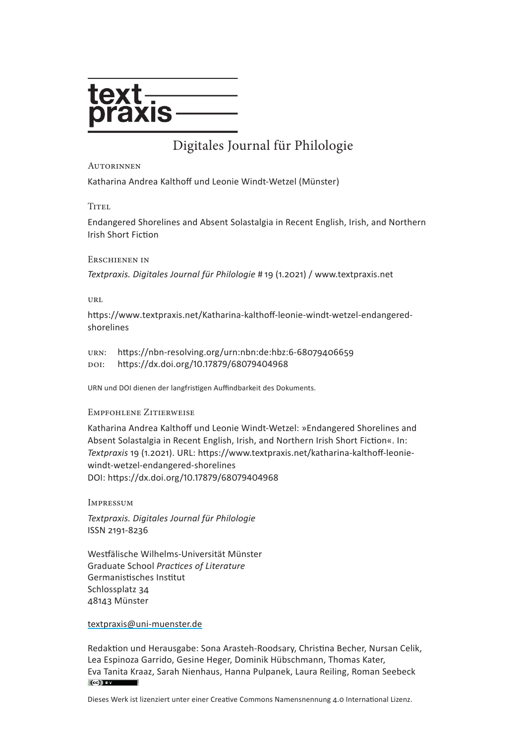

# [Digitales Journa](http://www.textpraxis.net)l für Philologie

#### **AUTORINNEN**

Katharina Andrea Kalthoff und Leonie Windt-Wetzel (Münster)

**TITEL** 

Endangered Shorelines and Absent Solastalgia in Recent English, Irish, and Northern Irish Short Fiction

#### Erschienen in

*Textpraxis. Digitales Journal für Philologie* # 19 (1.2021) / [www.textpraxis.net](https://www.textpraxis.net)

URL

[https://www.textpraxis.net/](https://www.textpraxis.net/Katharina-kalthoff-leonie-windt-wetzel-endangered-shorelines)Katharina-kalthoff-leonie-windt-wetzel-endangeredshorelines

urn: <https://nbn-resolving.org/urn:nbn:de:hbz:6-68079406659> doi: <https://dx.doi.org/10.17879/68079404968>

URN und DOI dienen der langfristigen Auffindbarkeit des Dokuments.

#### Empfohlene Zitierweise

Katharina Andrea Kalthoff und Leonie Windt-Wetzel: »Endangered Shorelines and Absent Solastalgia in Recent English, Irish, and Northern Irish Short Fiction«. In: *Textpraxis* 19 (1.2021). URL: [https://www.textpraxis.net/](https://www.textpraxis.net/katharina-kalthoff-leonie-windt-wetzel-endangered-shorelines)katharina-kalthoff-leoniewindt-wetzel-endangered-shorelines DOI: <https://dx.doi.org/10.17879/68079404968>

Impressum

*Textpraxis. Digitales Journal für Philologie* ISSN 2191-8236

Westfälische Wilhelms-Universität Münster Graduate School *Practices of Literature* Germanistisches Institut Schlossplatz 34 48143 Münster

#### textpraxis@uni-muenster.de

Redaktion und Herausgabe: Sona Arasteh-Roodsary, Christina Becher, Nursan Celik, Lea Espinoza Garrido, Gesine Heger, Dominik Hübschmann, Thomas Kater, Eva Tanita Kraaz, Sarah Nienhaus, Hanna Pulpanek, Laura Reiling, Roman Seebeck  $\left(\mathrm{cc}\right)$  BY

Dieses Werk ist lizenziert unter einer Creative Commons Namensnennung 4.0 International Lizenz.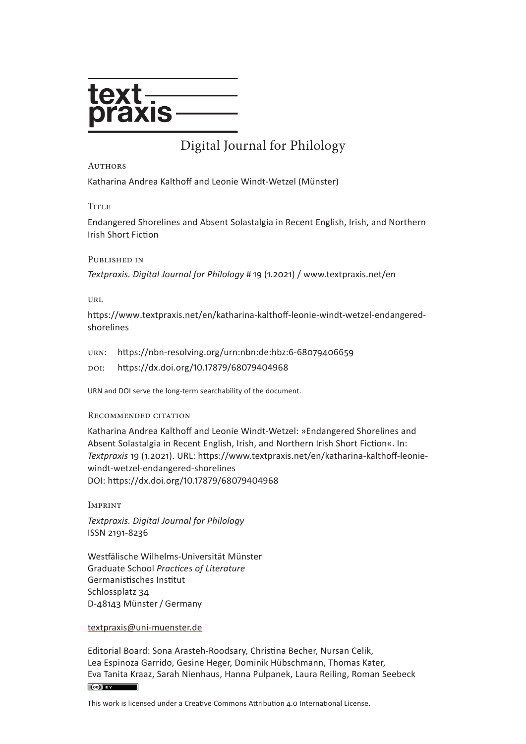

# [Digital Journa](http://www.textpraxis.net/en)l for Philology

#### **AUTHORS**

Katharina Andrea Kalthoff and Leonie Windt-Wetzel (Münster)

#### **TITLE**

Endangered Shorelines and Absent Solastalgia in Recent English, Irish, and Northern Irish Short Fiction

#### Published in

*Textpraxis. Digital Journal for Philology* # 19 (1.2021) / [www.textpraxis.net](https://www.textpraxis.net/en)/en

URL

[https://www.textpraxis.net/](https://www.textpraxis.net/en/katharina-kalthoff-leonie-windt-wetzel-endangered-shorelines)en/katharina-kalthoff-leonie-windt-wetzel-endangeredshorelines

urn: <https://nbn-resolving.org/urn:nbn:de:hbz:6-68079406659>

doi: <https://dx.doi.org/10.17879/68079404968>

URN and DOI serve the long-term searchability of the document.

#### Recommended citation

Katharina Andrea Kalthoff and Leonie Windt-Wetzel: »Endangered Shorelines and Absent Solastalgia in Recent English, Irish, and Northern Irish Short Fiction«. In: *Textpraxis* 19 (1.2021). URL: [https://www.textpraxis.net/](https://www.textpraxis.net/en/katharina-kalthoff-leonie-windt-wetzel-endangered-shorelines)en/katharina-kalthoff-leoniewindt-wetzel-endangered-shorelines DOI: [https://dx.doi.org/10.17879/68079404968](https://dx.doi.org/10.17879/68079404968 )

Imprint

*Textpraxis. Digital Journal for Philology* ISSN 2191-8236

Westfälische Wilhelms-Universität Münster Graduate School *Practices of Literature* Germanistisches Institut Schlossplatz 34 D-48143 Münster / Germany

#### [textpraxis@uni-muenster.de](mailto:textpraxis%40uni-muenster.de?subject=)

Editorial Board: Sona Arasteh-Roodsary, Christina Becher, Nursan Celik, Lea Espinoza Garrido, Gesine Heger, Dominik Hübschmann, Thomas Kater, Eva Tanita Kraaz, Sarah Nienhaus, Hanna Pulpanek, Laura Reiling, Roman Seebeck  $(cc)$  BY

This work is licensed under a Creative Commons Attribution 4.0 International License.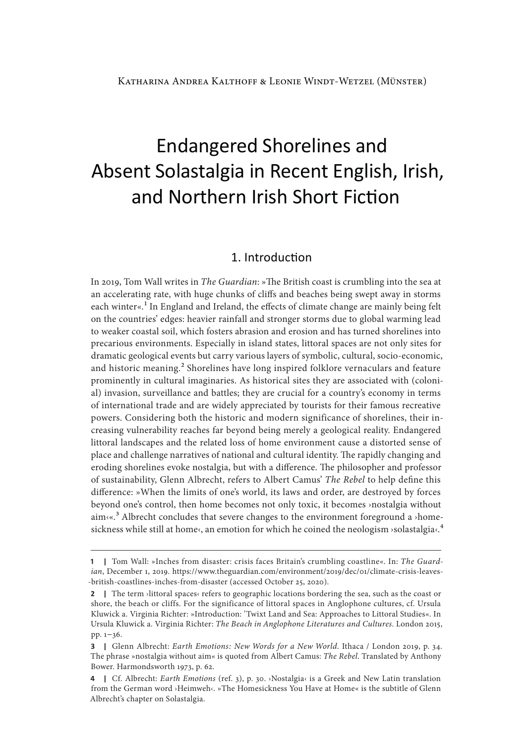# Endangered Shorelines and Absent Solastalgia in Recent English, Irish, and Northern Irish Short Fiction

## 1. Introduction

In 2019, Tom Wall writes in *The Guardian*: »The British coast is crumbling into the sea at an accelerating rate, with huge chunks of cliffs and beaches being swept away in storms each winter«.<sup>1</sup> In England and Ireland, the effects of climate change are mainly being felt on the countries' edges: heavier rainfall and stronger storms due to global warming lead to weaker coastal soil, which fosters abrasion and erosion and has turned shorelines into precarious environments. Especially in island states, littoral spaces are not only sites for dramatic geological events but carry various layers of symbolic, cultural, socio-economic, and historic meaning.<sup>2</sup> Shorelines have long inspired folklore vernaculars and feature prominently in cultural imaginaries. As historical sites they are associated with (colonial) invasion, surveillance and battles; they are crucial for a country's economy in terms of international trade and are widely appreciated by tourists for their famous recreative powers. Considering both the historic and modern significance of shorelines, their increasing vulnerability reaches far beyond being merely a geological reality. Endangered littoral landscapes and the related loss of home environment cause a distorted sense of place and challenge narratives of national and cultural identity. The rapidly changing and eroding shorelines evoke nostalgia, but with a difference. The philosopher and professor of sustainability, Glenn Albrecht, refers to Albert Camus' *The Rebel* to help define this difference: »When the limits of one's world, its laws and order, are destroyed by forces beyond one's control, then home becomes not only toxic, it becomes ›nostalgia without  $aim(x^3)$  Albrecht concludes that severe changes to the environment foreground a >homesickness while still at home<, an emotion for which he coined the neologism >solastalgia<.<sup>4</sup>

**<sup>1</sup>** | Tom Wall: »Inches from disaster: crisis faces Britain's crumbling coastline«. In: *The Guardian*, December 1, 2019. [https://www.theguardian.com/environment/2019/dec/01/climate-crisis-leaves-](https://www.theguardian.com/environment/2019/dec/01/climate-crisis-leaves-british-coastlines-inches-from-disaster) [-british-coastlines-inches-from-disaster](https://www.theguardian.com/environment/2019/dec/01/climate-crisis-leaves-british-coastlines-inches-from-disaster) (accessed October 25, 2020).

**<sup>2</sup>** | The term >littoral spaces< refers to geographic locations bordering the sea, such as the coast or shore, the beach or cliffs. For the significance of littoral spaces in Anglophone cultures, cf. Ursula Kluwick a. Virginia Richter: »Introduction: 'Twixt Land and Sea: Approaches to Littoral Studies«. In Ursula Kluwick a. Virginia Richter: *The Beach in Anglophone Literatures and Cultures*. London 2015, pp. 1–36.

**<sup>3 |</sup>**  Glenn Albrecht: *Earth Emotions: New Words for a New World*. Ithaca / London 2019, p. 34. The phrase »nostalgia without aim« is quoted from Albert Camus: *The Rebel*. Translated by Anthony Bower. Harmondsworth 1973, p. 62.

**<sup>4 |</sup>**  Cf. Albrecht: *Earth Emotions* (ref. 3), p. 30. ›Nostalgia‹ is a Greek and New Latin translation from the German word ›Heimweh‹. »The Homesickness You Have at Home« is the subtitle of Glenn Albrecht's chapter on Solastalgia.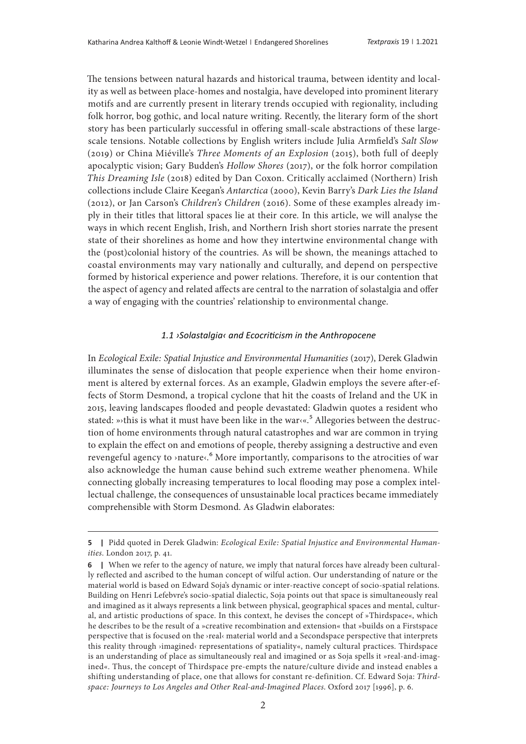The tensions between natural hazards and historical trauma, between identity and locality as well as between place-homes and nostalgia, have developed into prominent literary motifs and are currently present in literary trends occupied with regionality, including folk horror, bog gothic, and local nature writing. Recently, the literary form of the short story has been particularly successful in offering small-scale abstractions of these largescale tensions. Notable collections by English writers include Julia Armfield's *Salt Slow* (2019) or China Miéville's *Three Moments of an Explosion* (2015), both full of deeply apocalyptic vision; Gary Budden's *Hollow Shores* (2017), or the folk horror compilation *This Dreaming Isle* (2018) edited by Dan Coxon. Critically acclaimed (Northern) Irish collections include Claire Keegan's *Antarctica* (2000), Kevin Barry's *Dark Lies the Island*  (2012), or Jan Carson's *Children's Children* (2016). Some of these examples already imply in their titles that littoral spaces lie at their core. In this article, we will analyse the ways in which recent English, Irish, and Northern Irish short stories narrate the present state of their shorelines as home and how they intertwine environmental change with the (post)colonial history of the countries. As will be shown, the meanings attached to coastal environments may vary nationally and culturally, and depend on perspective formed by historical experience and power relations. Therefore, it is our contention that the aspect of agency and related affects are central to the narration of solastalgia and offer a way of engaging with the countries' relationship to environmental change.

#### *1.1 ›Solastalgia‹ and Ecocriticism in the Anthropocene*

In *Ecological Exile: Spatial Injustice and Environmental Humanities* (2017), Derek Gladwin illuminates the sense of dislocation that people experience when their home environment is altered by external forces. As an example, Gladwin employs the severe after-effects of Storm Desmond, a tropical cyclone that hit the coasts of Ireland and the UK in 2015, leaving landscapes flooded and people devastated: Gladwin quotes a resident who stated: »>this is what it must have been like in the war $\langle \cdot \rangle^5$  Allegories between the destruction of home environments through natural catastrophes and war are common in trying to explain the effect on and emotions of people, thereby assigning a destructive and even revengeful agency to >nature<.<sup>6</sup> More importantly, comparisons to the atrocities of war also acknowledge the human cause behind such extreme weather phenomena. While connecting globally increasing temperatures to local flooding may pose a complex intellectual challenge, the consequences of unsustainable local practices became immediately comprehensible with Storm Desmond. As Gladwin elaborates:

**<sup>5 |</sup>**  Pidd quoted in Derek Gladwin: *Ecological Exile: Spatial Injustice and Environmental Humanities*. London 2017, p. 41.

**<sup>6</sup>** | When we refer to the agency of nature, we imply that natural forces have already been culturally reflected and ascribed to the human concept of wilful action. Our understanding of nature or the material world is based on Edward Soja's dynamic or inter-reactive concept of socio-spatial relations. Building on Henri Lefebvre's socio-spatial dialectic, Soja points out that space is simultaneously real and imagined as it always represents a link between physical, geographical spaces and mental, cultural, and artistic productions of space. In this context, he devises the concept of »Thirdspace«, which he describes to be the result of a »creative recombination and extension« that »builds on a Firstspace perspective that is focused on the ›real‹ material world and a Secondspace perspective that interprets this reality through ›imagined‹ representations of spatiality«, namely cultural practices. Thirdspace is an understanding of place as simultaneously real and imagined or as Soja spells it »real-and-imagined«. Thus, the concept of Thirdspace pre-empts the nature/culture divide and instead enables a shifting understanding of place, one that allows for constant re-definition. Cf. Edward Soja: *Thirdspace: Journeys to Los Angeles and Other Real-and-Imagined Places*. Oxford 2017 [1996], p. 6.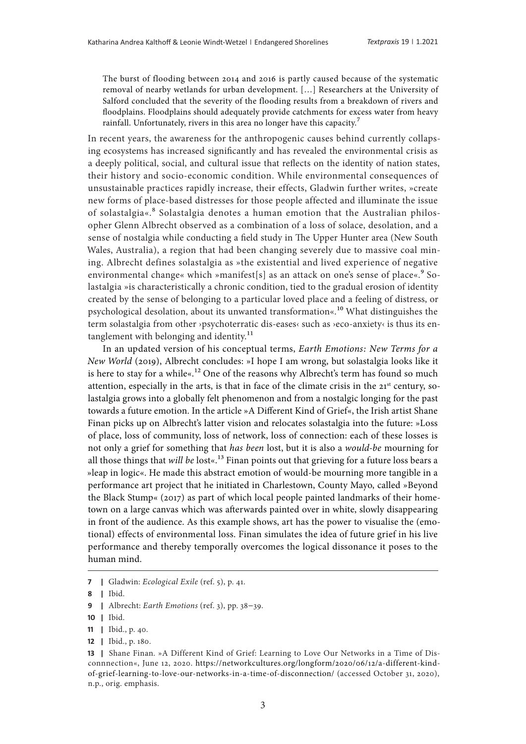The burst of flooding between 2014 and 2016 is partly caused because of the systematic removal of nearby wetlands for urban development. […] Researchers at the University of Salford concluded that the severity of the flooding results from a breakdown of rivers and floodplains. Floodplains should adequately provide catchments for excess water from heavy rainfall. Unfortunately, rivers in this area no longer have this capacity.<sup>7</sup>

In recent years, the awareness for the anthropogenic causes behind currently collapsing ecosystems has increased significantly and has revealed the environmental crisis as a deeply political, social, and cultural issue that reflects on the identity of nation states, their history and socio-economic condition. While environmental consequences of unsustainable practices rapidly increase, their effects, Gladwin further writes, »create new forms of place-based distresses for those people affected and illuminate the issue of solastalgia«.8 Solastalgia denotes a human emotion that the Australian philosopher Glenn Albrecht observed as a combination of a loss of solace, desolation, and a sense of nostalgia while conducting a field study in The Upper Hunter area (New South Wales, Australia), a region that had been changing severely due to massive coal mining. Albrecht defines solastalgia as »the existential and lived experience of negative environmental change« which »manifest[s] as an attack on one's sense of place«.<sup>9</sup> Solastalgia »is characteristically a chronic condition, tied to the gradual erosion of identity created by the sense of belonging to a particular loved place and a feeling of distress, or psychological desolation, about its unwanted transformation«.10 What distinguishes the term solastalgia from other ›psychoterratic dis-eases‹ such as ›eco-anxiety‹ is thus its entanglement with belonging and identity.<sup>11</sup>

In an updated version of his conceptual terms, *Earth Emotions: New Terms for a New World* (2019), Albrecht concludes: »I hope I am wrong, but solastalgia looks like it is here to stay for a while« $12$  One of the reasons why Albrecht's term has found so much attention, especially in the arts, is that in face of the climate crisis in the  $21<sup>st</sup>$  century, solastalgia grows into a globally felt phenomenon and from a nostalgic longing for the past towards a future emotion. In the article »A Different Kind of Grief«, the Irish artist Shane Finan picks up on Albrecht's latter vision and relocates solastalgia into the future: »Loss of place, loss of community, loss of network, loss of connection: each of these losses is not only a grief for something that *has been* lost, but it is also a *would-be* mourning for all those things that *will be* lost«.<sup>13</sup> Finan points out that grieving for a future loss bears a »leap in logic«. He made this abstract emotion of would-be mourning more tangible in a performance art project that he initiated in Charlestown, County Mayo, called »Beyond the Black Stump« (2017) as part of which local people painted landmarks of their hometown on a large canvas which was afterwards painted over in white, slowly disappearing in front of the audience. As this example shows, art has the power to visualise the (emotional) effects of environmental loss. Finan simulates the idea of future grief in his live performance and thereby temporally overcomes the logical dissonance it poses to the human mind.

**10 |**  Ibid.

**<sup>7 |</sup>**  Gladwin: *Ecological Exile* (ref. 5), p. 41.

**<sup>8 |</sup>**  Ibid.

**<sup>9 |</sup>**  Albrecht: *Earth Emotions* (ref. 3), pp. 38–39.

**<sup>11 |</sup>**  Ibid., p. 40.

**<sup>12 |</sup>**  Ibid., p. 180.

<sup>13 |</sup> Shane Finan. »A Different Kind of Grief: Learning to Love Our Networks in a Time of Disconnnection«, June 12, 2020. [https://networkcultures.org/longform/2020/06/12/a-different-kind](https://networkcultures.org/longform/2020/06/12/a-different-kind-of-grief-learning-to-love-our-networks-in-a-time-of-disconnection/)[of-grief-learning-to-love-our-networks-in-a-time-of-disconnection/](https://networkcultures.org/longform/2020/06/12/a-different-kind-of-grief-learning-to-love-our-networks-in-a-time-of-disconnection/) (accessed October 31, 2020), n.p., orig. emphasis.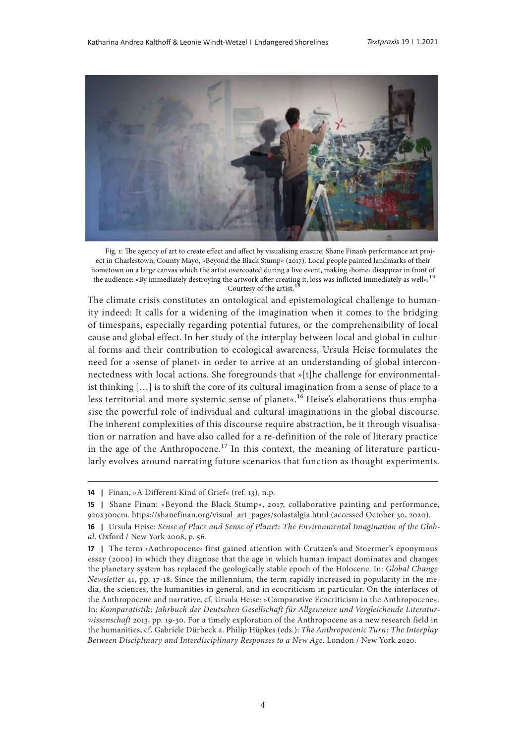

Fig. 1: The agency of art to create effect and affect by visualising erasure: Shane Finan's performance art project in Charlestown, County Mayo, »Beyond the Black Stump« (2017). Local people painted landmarks of their hometown on a large canvas which the artist overcoated during a live event, making ›home‹ disappear in front of the audience: »By immediately destroying the artwork after creating it, loss was inflicted immediately as well«.<sup>14</sup> Courtesy of the artist.<sup>1</sup>

The climate crisis constitutes an ontological and epistemological challenge to humanity indeed: It calls for a widening of the imagination when it comes to the bridging of timespans, especially regarding potential futures, or the comprehensibility of local cause and global effect. In her study of the interplay between local and global in cultural forms and their contribution to ecological awareness, Ursula Heise formulates the need for a ›sense of planet‹ in order to arrive at an understanding of global interconnectedness with local actions. She foregrounds that »[t]he challenge for environmentalist thinking […] is to shift the core of its cultural imagination from a sense of place to a less territorial and more systemic sense of planet«.<sup>16</sup> Heise's elaborations thus emphasise the powerful role of individual and cultural imaginations in the global discourse. The inherent complexities of this discourse require abstraction, be it through visualisation or narration and have also called for a re-definition of the role of literary practice in the age of the Anthropocene.<sup>17</sup> In this context, the meaning of literature particularly evolves around narrating future scenarios that function as thought experiments.

**<sup>14</sup>** | Finan, »A Different Kind of Grief« (ref. 13), n.p.

<sup>15 |</sup> Shane Finan: »Beyond the Black Stump«, 2017, collaborative painting and performance, 920x300cm. [https://shanefinan.org/visual\\_art\\_pages/solastalgia.html](https://shanefinan.org/visual_art_pages/solastalgia.html) (accessed October 30, 2020).

<sup>16 |</sup> Ursula Heise: Sense of Place and Sense of Planet: The Environmental Imagination of the Glob*al*. Oxford / New York 2008, p. 56.

**<sup>17</sup>** | The term >Anthropocene‹ first gained attention with Crutzen's and Stoermer's eponymous essay (2000) in which they diagnose that the age in which human impact dominates and changes the planetary system has replaced the geologically stable epoch of the Holocene. In: *Global Change Newsletter* 41, pp. 17-18. Since the millennium, the term rapidly increased in popularity in the media, the sciences, the humanities in general, and in ecocriticism in particular. On the interfaces of the Anthropocene and narrative, cf. Ursula Heise: »Comparative Ecocriticism in the Anthropocene«. In: *Komparatistik: Jahrbuch der Deutschen Gesellschaft für Allgemeine und Vergleichende Literaturwissenschaft* 2013, pp. 19-30. For a timely exploration of the Anthropocene as a new research field in the humanities, cf. Gabriele Dürbeck a. Philip Hüpkes (eds.): *The Anthropocenic Turn: The Interplay Between Disciplinary and Interdisciplinary Responses to a New Age*. London / New York 2020.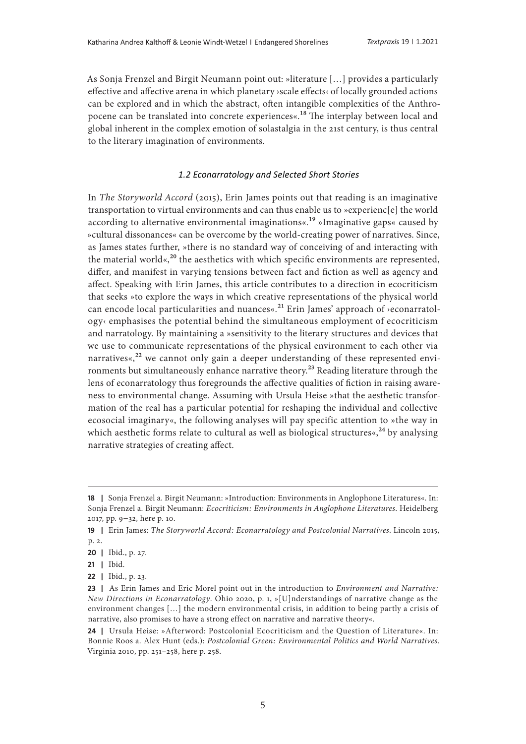As Sonja Frenzel and Birgit Neumann point out: »literature […] provides a particularly effective and affective arena in which planetary ›scale effects‹ of locally grounded actions can be explored and in which the abstract, often intangible complexities of the Anthropocene can be translated into concrete experiences«.18 The interplay between local and global inherent in the complex emotion of solastalgia in the 21st century, is thus central to the literary imagination of environments.

#### *1.2 Econarratology and Selected Short Stories*

In *The Storyworld Accord* (2015), Erin James points out that reading is an imaginative transportation to virtual environments and can thus enable us to »experienc[e] the world according to alternative environmental imaginations«.19 »Imaginative gaps« caused by »cultural dissonances« can be overcome by the world-creating power of narratives. Since, as James states further, »there is no standard way of conceiving of and interacting with the material world«, $^{20}$  the aesthetics with which specific environments are represented, differ, and manifest in varying tensions between fact and fiction as well as agency and affect. Speaking with Erin James, this article contributes to a direction in ecocriticism that seeks »to explore the ways in which creative representations of the physical world can encode local particularities and nuances«.<sup>21</sup> Erin James' approach of >econarratol $ogy \in$  emphasises the potential behind the simultaneous employment of ecocriticism and narratology. By maintaining a »sensitivity to the literary structures and devices that we use to communicate representations of the physical environment to each other via narratives«, $^{22}$  we cannot only gain a deeper understanding of these represented environments but simultaneously enhance narrative theory.<sup>23</sup> Reading literature through the lens of econarratology thus foregrounds the affective qualities of fiction in raising awareness to environmental change. Assuming with Ursula Heise »that the aesthetic transformation of the real has a particular potential for reshaping the individual and collective ecosocial imaginary«, the following analyses will pay specific attention to »the way in which aesthetic forms relate to cultural as well as biological structures«,  $^{24}$  by analysing narrative strategies of creating affect.

**<sup>18 |</sup>**  Sonja Frenzel a. Birgit Neumann: »Introduction: Environments in Anglophone Literatures«. In: Sonja Frenzel a. Birgit Neumann: *Ecocriticism: Environments in Anglophone Literatures*. Heidelberg 2017, pp. 9–32, here p. 10.

**<sup>19 |</sup>**  Erin James: *The Storyworld Accord: Econarratology and Postcolonial Narratives*. Lincoln 2015, p. 2.

**<sup>20 |</sup>**  Ibid., p. 27.

**<sup>21 |</sup>**  Ibid.

**<sup>22 |</sup>**  Ibid., p. 23.

**<sup>23 |</sup>**  As Erin James and Eric Morel point out in the introduction to *Environment and Narrative: New Directions in Econarratology*. Ohio 2020, p. 1, »[U]nderstandings of narrative change as the environment changes […] the modern environmental crisis, in addition to being partly a crisis of narrative, also promises to have a strong effect on narrative and narrative theory«.

**<sup>24 |</sup>**  Ursula Heise: »Afterword: Postcolonial Ecocriticism and the Question of Literature«. In: Bonnie Roos a. Alex Hunt (eds.): *Postcolonial Green: Environmental Politics and World Narratives*. Virginia 2010, pp. 251–258, here p. 258.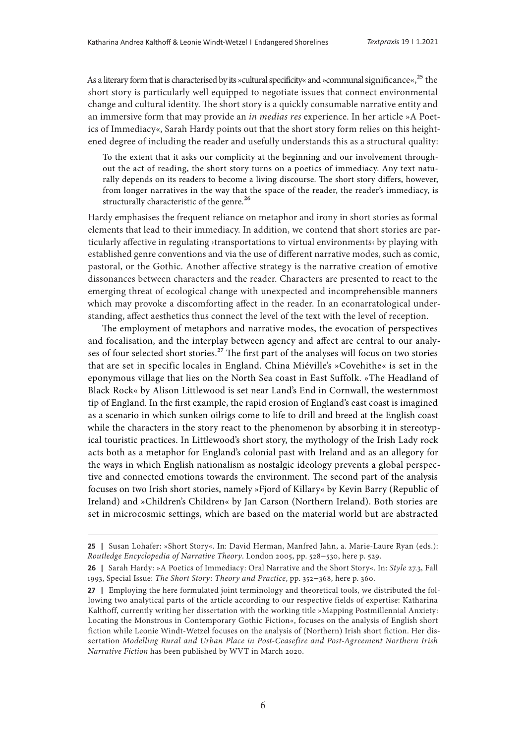As a literary form that is characterised by its »cultural specificity« and »communal significance«,<sup>25</sup> the short story is particularly well equipped to negotiate issues that connect environmental change and cultural identity. The short story is a quickly consumable narrative entity and an immersive form that may provide an *in medias res* experience. In her article »A Poetics of Immediacy«, Sarah Hardy points out that the short story form relies on this heightened degree of including the reader and usefully understands this as a structural quality:

To the extent that it asks our complicity at the beginning and our involvement throughout the act of reading, the short story turns on a poetics of immediacy. Any text naturally depends on its readers to become a living discourse. The short story differs, however, from longer narratives in the way that the space of the reader, the reader's immediacy, is structurally characteristic of the genre.<sup>26</sup>

Hardy emphasises the frequent reliance on metaphor and irony in short stories as formal elements that lead to their immediacy. In addition, we contend that short stories are particularly affective in regulating ›transportations to virtual environments‹ by playing with established genre conventions and via the use of different narrative modes, such as comic, pastoral, or the Gothic. Another affective strategy is the narrative creation of emotive dissonances between characters and the reader. Characters are presented to react to the emerging threat of ecological change with unexpected and incomprehensible manners which may provoke a discomforting affect in the reader. In an econarratological understanding, affect aesthetics thus connect the level of the text with the level of reception.

The employment of metaphors and narrative modes, the evocation of perspectives and focalisation, and the interplay between agency and affect are central to our analyses of four selected short stories.<sup>27</sup> The first part of the analyses will focus on two stories that are set in specific locales in England. China Miéville's »Covehithe« is set in the eponymous village that lies on the North Sea coast in East Suffolk. »The Headland of Black Rock« by Alison Littlewood is set near Land's End in Cornwall, the westernmost tip of England. In the first example, the rapid erosion of England's east coast is imagined as a scenario in which sunken oilrigs come to life to drill and breed at the English coast while the characters in the story react to the phenomenon by absorbing it in stereotypical touristic practices. In Littlewood's short story, the mythology of the Irish Lady rock acts both as a metaphor for England's colonial past with Ireland and as an allegory for the ways in which English nationalism as nostalgic ideology prevents a global perspective and connected emotions towards the environment. The second part of the analysis focuses on two Irish short stories, namely »Fjord of Killary« by Kevin Barry (Republic of Ireland) and »Children's Children« by Jan Carson (Northern Ireland). Both stories are set in microcosmic settings, which are based on the material world but are abstracted

<sup>25 |</sup> Susan Lohafer: »Short Story«. In: David Herman, Manfred Jahn, a. Marie-Laure Ryan (eds.): *Routledge Encyclopedia of Narrative Theory*. London 2005, pp. 528–530, here p. 529.

**<sup>26 |</sup>**  Sarah Hardy: »A Poetics of Immediacy: Oral Narrative and the Short Story«. In: *Style* 27.3, Fall 1993, Special Issue: *The Short Story: Theory and Practice*, pp. 352–368, here p. 360.

**<sup>27</sup>** | Employing the here formulated joint terminology and theoretical tools, we distributed the following two analytical parts of the article according to our respective fields of expertise: Katharina Kalthoff, currently writing her dissertation with the working title »Mapping Postmillennial Anxiety: Locating the Monstrous in Contemporary Gothic Fiction«, focuses on the analysis of English short fiction while Leonie Windt-Wetzel focuses on the analysis of (Northern) Irish short fiction. Her dissertation *Modelling Rural and Urban Place in Post-Ceasefire and Post-Agreement Northern Irish Narrative Fiction* has been published by WVT in March 2020.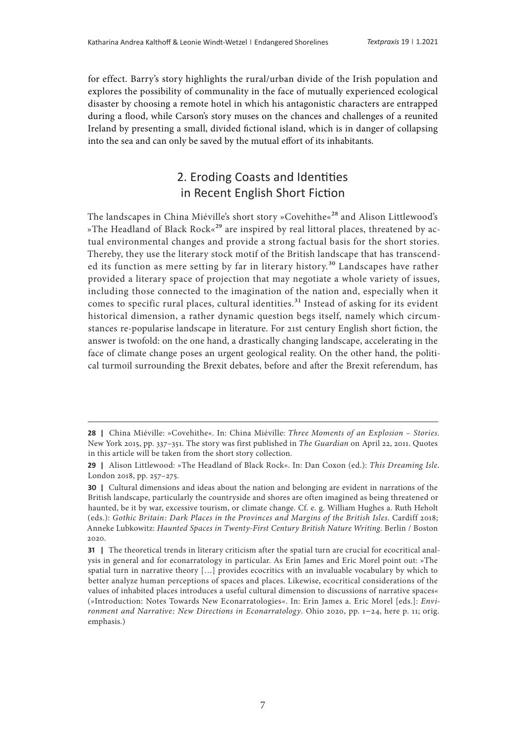for effect. Barry's story highlights the rural/urban divide of the Irish population and explores the possibility of communality in the face of mutually experienced ecological disaster by choosing a remote hotel in which his antagonistic characters are entrapped during a flood, while Carson's story muses on the chances and challenges of a reunited Ireland by presenting a small, divided fictional island, which is in danger of collapsing into the sea and can only be saved by the mutual effort of its inhabitants.

# 2. Eroding Coasts and Identities in Recent English Short Fiction

The landscapes in China Miéville's short story »Covehithe«<sup>28</sup> and Alison Littlewood's »The Headland of Black Rock«<sup>29</sup> are inspired by real littoral places, threatened by actual environmental changes and provide a strong factual basis for the short stories. Thereby, they use the literary stock motif of the British landscape that has transcended its function as mere setting by far in literary history.<sup>30</sup> Landscapes have rather provided a literary space of projection that may negotiate a whole variety of issues, including those connected to the imagination of the nation and, especially when it comes to specific rural places, cultural identities.<sup>31</sup> Instead of asking for its evident historical dimension, a rather dynamic question begs itself, namely which circumstances re-popularise landscape in literature. For 21st century English short fiction, the answer is twofold: on the one hand, a drastically changing landscape, accelerating in the face of climate change poses an urgent geological reality. On the other hand, the political turmoil surrounding the Brexit debates, before and after the Brexit referendum, has

**<sup>28 |</sup>**  China Miéville: »Covehithe«. In: China Miéville: *Three Moments of an Explosion – Stories*. New York 2015, pp. 337–351. The story was first published in *The Guardian* on April 22, 2011. Quotes in this article will be taken from the short story collection.

**<sup>29 |</sup>**  Alison Littlewood: »The Headland of Black Rock«. In: Dan Coxon (ed.): *This Dreaming Isle.* London 2018, pp. 257–275.

**<sup>30</sup>** | Cultural dimensions and ideas about the nation and belonging are evident in narrations of the British landscape, particularly the countryside and shores are often imagined as being threatened or haunted, be it by war, excessive tourism, or climate change. Cf. e. g. William Hughes a. Ruth Heholt (eds.): *Gothic Britain: Dark Places in the Provinces and Margins of the British Isles*. Cardiff 2018; Anneke Lubkowitz: *Haunted Spaces in Twenty-First Century British Nature Writing*. Berlin / Boston 2020.

**<sup>31</sup>** | The theoretical trends in literary criticism after the spatial turn are crucial for ecocritical analysis in general and for econarratology in particular. As Erin James and Eric Morel point out: »The spatial turn in narrative theory […] provides ecocritics with an invaluable vocabulary by which to better analyze human perceptions of spaces and places. Likewise, ecocritical considerations of the values of inhabited places introduces a useful cultural dimension to discussions of narrative spaces« (»Introduction: Notes Towards New Econarratologies«. In: Erin James a. Eric Morel [eds.]: *Environment and Narrative: New Directions in Econarratology*. Ohio 2020, pp. 1–24, here p. 11; orig. emphasis.)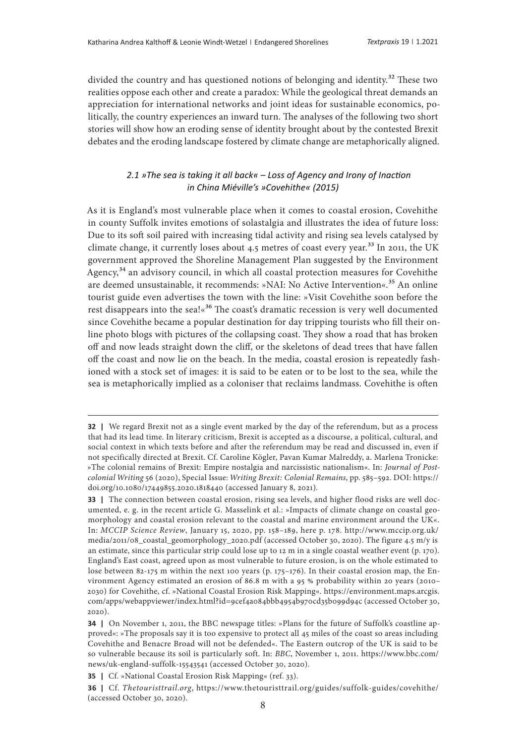divided the country and has questioned notions of belonging and identity.<sup>32</sup> These two realities oppose each other and create a paradox: While the geological threat demands an appreciation for international networks and joint ideas for sustainable economics, politically, the country experiences an inward turn. The analyses of the following two short stories will show how an eroding sense of identity brought about by the contested Brexit debates and the eroding landscape fostered by climate change are metaphorically aligned.

## *2.1 »The sea is taking it all back« – Loss of Agency and Irony of Inaction in China Miéville's »Covehithe« (2015)*

As it is England's most vulnerable place when it comes to coastal erosion, Covehithe in county Suffolk invites emotions of solastalgia and illustrates the idea of future loss: Due to its soft soil paired with increasing tidal activity and rising sea levels catalysed by climate change, it currently loses about 4.5 metres of coast every year.<sup>33</sup> In 2011, the UK government approved the Shoreline Management Plan suggested by the Environment Agency,<sup>34</sup> an advisory council, in which all coastal protection measures for Covehithe are deemed unsustainable, it recommends: »NAI: No Active Intervention«.<sup>35</sup> An online tourist guide even advertises the town with the line: »Visit Covehithe soon before the rest disappears into the sea!«<sup>36</sup> The coast's dramatic recession is very well documented since Covehithe became a popular destination for day tripping tourists who fill their online photo blogs with pictures of the collapsing coast. They show a road that has broken off and now leads straight down the cliff, or the skeletons of dead trees that have fallen off the coast and now lie on the beach. In the media, coastal erosion is repeatedly fashioned with a stock set of images: it is said to be eaten or to be lost to the sea, while the sea is metaphorically implied as a coloniser that reclaims landmass. Covehithe is often

**<sup>32</sup>** | We regard Brexit not as a single event marked by the day of the referendum, but as a process that had its lead time. In literary criticism, Brexit is accepted as a discourse, a political, cultural, and social context in which texts before and after the referendum may be read and discussed in, even if not specifically directed at Brexit. Cf. Caroline Kögler, Pavan Kumar Malreddy, a. Marlena Tronicke: »The colonial remains of Brexit: Empire nostalgia and narcissistic nationalism«. In: *Journal of Postcolonial Writing* 56 (2020), Special Issue: *Writing Brexit: Colonial Remains,* pp. 585–592. DOI: [https://](https://doi.org/10.1080/17449855.2020.1818440) [doi.org/10.1080/17449855.2020.1818440](https://doi.org/10.1080/17449855.2020.1818440) (accessed January 8, 2021).

**<sup>33</sup>** | The connection between coastal erosion, rising sea levels, and higher flood risks are well documented, e. g. in the recent article G. Masselink et al.: »Impacts of climate change on coastal geomorphology and coastal erosion relevant to the coastal and marine environment around the UK«. In: *MCCIP Science Review*, January 15, 2020, pp. 158–189, here p. 178. [http://www.mccip.org.uk/](http://www.mccip.org.uk/media/2011/08_coastal_geomorphology_2020.pdf) [media/2011/08\\_coastal\\_geomorphology\\_2020.pdf](http://www.mccip.org.uk/media/2011/08_coastal_geomorphology_2020.pdf) (accessed October 30, 2020). The figure 4.5 m/y is an estimate, since this particular strip could lose up to 12 m in a single coastal weather event (p. 170). England's East coast, agreed upon as most vulnerable to future erosion, is on the whole estimated to lose between 82-175 m within the next 100 years (p. 175–176). In their coastal erosion map, the Environment Agency estimated an erosion of 86.8 m with a 95 % probability within 20 years (2010– 2030) for Covehithe, cf. »National Coastal Erosion Risk Mapping«. [https://environment.maps.arcgis.](https://environment.maps.arcgis.com/apps/webappviewer/index.html?id=9cef4a084bbb4954b970cd35b099d94c) [com/apps/webappviewer/index.html?id=9cef4a084bbb4954b970cd35b099d94c](https://environment.maps.arcgis.com/apps/webappviewer/index.html?id=9cef4a084bbb4954b970cd35b099d94c) (accessed October 30, 2020).

**<sup>34</sup>** | On November 1, 2011, the BBC newspage titles: »Plans for the future of Suffolk's coastline approved«: »The proposals say it is too expensive to protect all 45 miles of the coast so areas including Covehithe and Benacre Broad will not be defended«. The Eastern outcrop of the UK is said to be so vulnerable because its soil is particularly soft. In: *BBC*, November 1, 2011. [https://www.bbc.com/](https://www.bbc.com/news/uk-england-suffolk-15543541) [news/uk-england-suffolk-15543541](https://www.bbc.com/news/uk-england-suffolk-15543541) (accessed October 30, 2020).

**<sup>35</sup>** | Cf. »National Coastal Erosion Risk Mapping« (ref. 33).

**<sup>36 |</sup>**  Cf. *Thetouristtrail.org*, [https://www.thetouristtrail.org/guides/suffolk-guides/covehithe/](https://www.thetouristtrail.org/guides/suffolk-guides/covehithe/ ) (accessed October 30, 2020).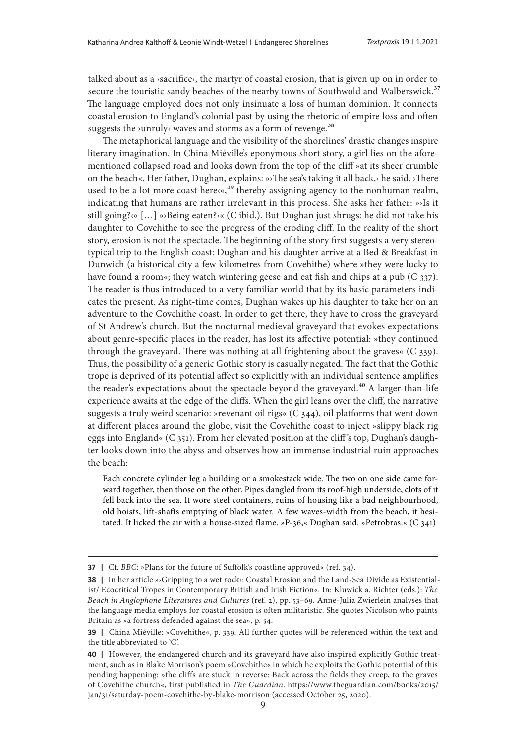talked about as a ›sacrifice‹, the martyr of coastal erosion, that is given up on in order to secure the touristic sandy beaches of the nearby towns of Southwold and Walberswick.<sup>37</sup> The language employed does not only insinuate a loss of human dominion. It connects coastal erosion to England's colonial past by using the rhetoric of empire loss and often suggests the >unruly‹ waves and storms as a form of revenge.<sup>38</sup>

The metaphorical language and the visibility of the shorelines' drastic changes inspire literary imagination. In China Miéville's eponymous short story, a girl lies on the aforementioned collapsed road and looks down from the top of the cliff »at its sheer crumble on the beach«. Her father, Dughan, explains: »›The sea's taking it all back,‹ he said. ›There used to be a lot more coast here $\langle \cdot, \cdot \rangle^3$  thereby assigning agency to the nonhuman realm, indicating that humans are rather irrelevant in this process. She asks her father: »›Is it still going?‹« […] »›Being eaten?‹« (C ibid.). But Dughan just shrugs: he did not take his daughter to Covehithe to see the progress of the eroding cliff. In the reality of the short story, erosion is not the spectacle. The beginning of the story first suggests a very stereotypical trip to the English coast: Dughan and his daughter arrive at a Bed & Breakfast in Dunwich (a historical city a few kilometres from Covehithe) where »they were lucky to have found a room«; they watch wintering geese and eat fish and chips at a pub (C 337). The reader is thus introduced to a very familiar world that by its basic parameters indicates the present. As night-time comes, Dughan wakes up his daughter to take her on an adventure to the Covehithe coast. In order to get there, they have to cross the graveyard of St Andrew's church. But the nocturnal medieval graveyard that evokes expectations about genre-specific places in the reader, has lost its affective potential: »they continued through the graveyard. There was nothing at all frightening about the graves« (C 339). Thus, the possibility of a generic Gothic story is casually negated. The fact that the Gothic trope is deprived of its potential affect so explicitly with an individual sentence amplifies the reader's expectations about the spectacle beyond the graveyard.<sup>40</sup> A larger-than-life experience awaits at the edge of the cliffs. When the girl leans over the cliff, the narrative suggests a truly weird scenario: »revenant oil rigs« (C 344), oil platforms that went down at different places around the globe, visit the Covehithe coast to inject »slippy black rig eggs into England« (C 351). From her elevated position at the cliff's top, Dughan's daughter looks down into the abyss and observes how an immense industrial ruin approaches the beach:

Each concrete cylinder leg a building or a smokestack wide. The two on one side came forward together, then those on the other. Pipes dangled from its roof-high underside, clots of it fell back into the sea. It wore steel containers, ruins of housing like a bad neighbourhood, old hoists, lift-shafts emptying of black water. A few waves-width from the beach, it hesitated. It licked the air with a house-sized flame. »P-36,« Dughan said. »Petrobras.« (C 341)

**<sup>37</sup>** | Cf. *BBC*: »Plans for the future of Suffolk's coastline approved« (ref. 34).

**<sup>38</sup>** | In her article »›Gripping to a wet rock‹: Coastal Erosion and the Land-Sea Divide as Existentialist/ Ecocritical Tropes in Contemporary British and Irish Fiction«. In: Kluwick a. Richter (eds.): *The Beach in Anglophone Literatures and Cultures* (ref. 2), pp. 53–69. Anne-Julia Zwierlein analyses that the language media employs for coastal erosion is often militaristic. She quotes Nicolson who paints Britain as »a fortress defended against the sea«, p. 54.

**<sup>39</sup>** | China Miéville: »Covehithe«, p. 339. All further quotes will be referenced within the text and the title abbreviated to 'C'.

**<sup>40</sup>** | However, the endangered church and its graveyard have also inspired explicitly Gothic treatment, such as in Blake Morrison's poem »Covehithe« in which he exploits the Gothic potential of this pending happening: »the cliffs are stuck in reverse: Back across the fields they creep, to the graves of Covehithe church«, first published in *The Guardian*. [https://www.theguardian.com/books/2015/](https://www.theguardian.com/books/2015/jan/31/saturday-poem-covehithe-by-blake-morrison) [jan/31/saturday-poem-covehithe-by-blake-morrison](https://www.theguardian.com/books/2015/jan/31/saturday-poem-covehithe-by-blake-morrison) (accessed October 25, 2020).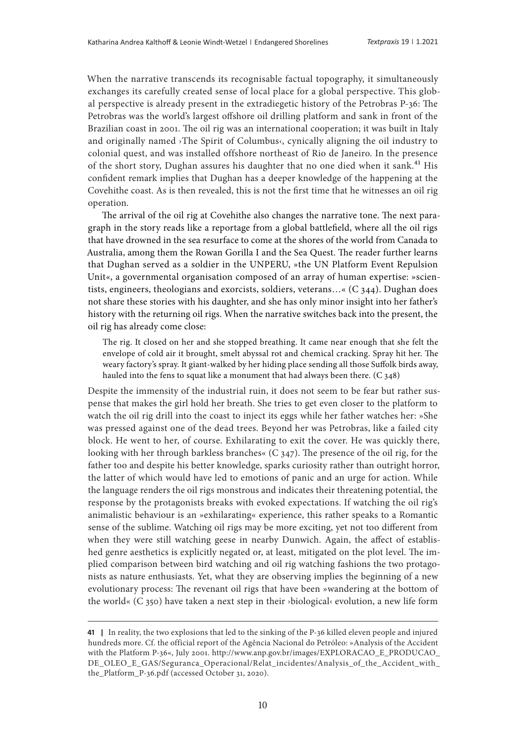When the narrative transcends its recognisable factual topography, it simultaneously exchanges its carefully created sense of local place for a global perspective. This global perspective is already present in the extradiegetic history of the Petrobras P-36: The Petrobras was the world's largest offshore oil drilling platform and sank in front of the Brazilian coast in 2001. The oil rig was an international cooperation; it was built in Italy and originally named ›The Spirit of Columbus‹, cynically aligning the oil industry to colonial quest, and was installed offshore northeast of Rio de Janeiro. In the presence of the short story, Dughan assures his daughter that no one died when it sank.<sup>41</sup> His confident remark implies that Dughan has a deeper knowledge of the happening at the Covehithe coast. As is then revealed, this is not the first time that he witnesses an oil rig operation.

The arrival of the oil rig at Covehithe also changes the narrative tone. The next paragraph in the story reads like a reportage from a global battlefield, where all the oil rigs that have drowned in the sea resurface to come at the shores of the world from Canada to Australia, among them the Rowan Gorilla I and the Sea Quest. The reader further learns that Dughan served as a soldier in the UNPERU, »the UN Platform Event Repulsion Unit«, a governmental organisation composed of an array of human expertise: »scientists, engineers, theologians and exorcists, soldiers, veterans…« (C 344). Dughan does not share these stories with his daughter, and she has only minor insight into her father's history with the returning oil rigs. When the narrative switches back into the present, the oil rig has already come close:

The rig. It closed on her and she stopped breathing. It came near enough that she felt the envelope of cold air it brought, smelt abyssal rot and chemical cracking. Spray hit her. The weary factory's spray. It giant-walked by her hiding place sending all those Suffolk birds away, hauled into the fens to squat like a monument that had always been there. (C 348)

Despite the immensity of the industrial ruin, it does not seem to be fear but rather suspense that makes the girl hold her breath. She tries to get even closer to the platform to watch the oil rig drill into the coast to inject its eggs while her father watches her: »She was pressed against one of the dead trees. Beyond her was Petrobras, like a failed city block. He went to her, of course. Exhilarating to exit the cover. He was quickly there, looking with her through barkless branches«  $(C_347)$ . The presence of the oil rig, for the father too and despite his better knowledge, sparks curiosity rather than outright horror, the latter of which would have led to emotions of panic and an urge for action. While the language renders the oil rigs monstrous and indicates their threatening potential, the response by the protagonists breaks with evoked expectations. If watching the oil rig's animalistic behaviour is an »exhilarating« experience, this rather speaks to a Romantic sense of the sublime. Watching oil rigs may be more exciting, yet not too different from when they were still watching geese in nearby Dunwich. Again, the affect of established genre aesthetics is explicitly negated or, at least, mitigated on the plot level. The implied comparison between bird watching and oil rig watching fashions the two protagonists as nature enthusiasts. Yet, what they are observing implies the beginning of a new evolutionary process: The revenant oil rigs that have been »wandering at the bottom of the world« (C 350) have taken a next step in their ›biological‹ evolution, a new life form

**<sup>41</sup>** In reality, the two explosions that led to the sinking of the P-36 killed eleven people and injured hundreds more. Cf. the official report of the Agência Nacional do Petróleo: »Analysis of the Accident with the Platform P-36«, July 2001. [http://www.anp.gov.br/images/EXPLORACAO\\_E\\_PRODUCAO\\_](http://www.anp.gov.br/images/EXPLORACAO_E_PRODUCAO_DE_OLEO_E_GAS/Seguranca_Operacional/Relat_incidentes/Analysis_of_the_Accident_with_the_Platform_P-36.pdf) [DE\\_OLEO\\_E\\_GAS/Seguranca\\_Operacional/Relat\\_incidentes/Analysis\\_of\\_the\\_Accident\\_with\\_](http://www.anp.gov.br/images/EXPLORACAO_E_PRODUCAO_DE_OLEO_E_GAS/Seguranca_Operacional/Relat_incidentes/Analysis_of_the_Accident_with_the_Platform_P-36.pdf) [the\\_Platform\\_P-36.pdf](http://www.anp.gov.br/images/EXPLORACAO_E_PRODUCAO_DE_OLEO_E_GAS/Seguranca_Operacional/Relat_incidentes/Analysis_of_the_Accident_with_the_Platform_P-36.pdf) (accessed October 31, 2020).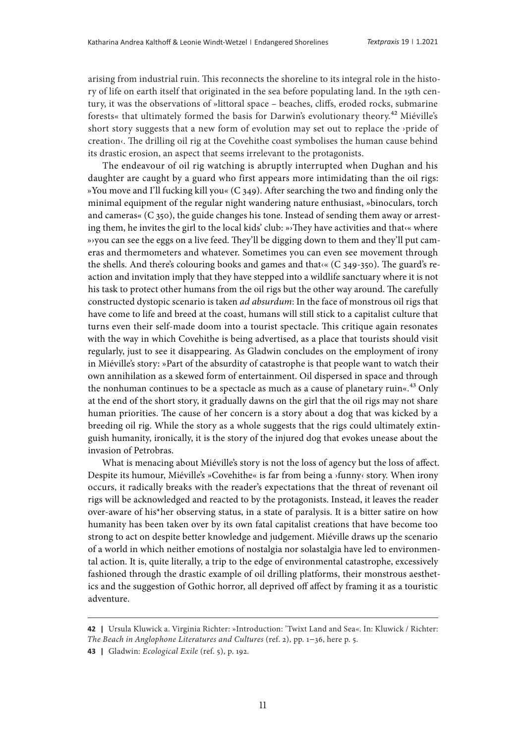arising from industrial ruin. This reconnects the shoreline to its integral role in the history of life on earth itself that originated in the sea before populating land. In the 19th century, it was the observations of »littoral space – beaches, cliffs, eroded rocks, submarine forests« that ultimately formed the basis for Darwin's evolutionary theory.42 Miéville's short story suggests that a new form of evolution may set out to replace the ›pride of creation <. The drilling oil rig at the Covehithe coast symbolises the human cause behind its drastic erosion, an aspect that seems irrelevant to the protagonists.

The endeavour of oil rig watching is abruptly interrupted when Dughan and his daughter are caught by a guard who first appears more intimidating than the oil rigs: »You move and I'll fucking kill you« (C 349). After searching the two and finding only the minimal equipment of the regular night wandering nature enthusiast, »binoculars, torch and cameras« (C 350), the guide changes his tone. Instead of sending them away or arresting them, he invites the girl to the local kids' club: »›They have activities and that‹« where »›you can see the eggs on a live feed. They'll be digging down to them and they'll put cameras and thermometers and whatever. Sometimes you can even see movement through the shells. And there's colouring books and games and that‹« (C 349-350). The guard's reaction and invitation imply that they have stepped into a wildlife sanctuary where it is not his task to protect other humans from the oil rigs but the other way around. The carefully constructed dystopic scenario is taken *ad absurdum*: In the face of monstrous oil rigs that have come to life and breed at the coast, humans will still stick to a capitalist culture that turns even their self-made doom into a tourist spectacle. This critique again resonates with the way in which Covehithe is being advertised, as a place that tourists should visit regularly, just to see it disappearing. As Gladwin concludes on the employment of irony in Miéville's story: »Part of the absurdity of catastrophe is that people want to watch their own annihilation as a skewed form of entertainment. Oil dispersed in space and through the nonhuman continues to be a spectacle as much as a cause of planetary ruin« $43$  Only at the end of the short story, it gradually dawns on the girl that the oil rigs may not share human priorities. The cause of her concern is a story about a dog that was kicked by a breeding oil rig. While the story as a whole suggests that the rigs could ultimately extinguish humanity, ironically, it is the story of the injured dog that evokes unease about the invasion of Petrobras.

What is menacing about Miéville's story is not the loss of agency but the loss of affect. Despite its humour, Miéville's »Covehithe« is far from being a ›funny‹ story. When irony occurs, it radically breaks with the reader's expectations that the threat of revenant oil rigs will be acknowledged and reacted to by the protagonists. Instead, it leaves the reader over-aware of his\*her observing status, in a state of paralysis. It is a bitter satire on how humanity has been taken over by its own fatal capitalist creations that have become too strong to act on despite better knowledge and judgement. Miéville draws up the scenario of a world in which neither emotions of nostalgia nor solastalgia have led to environmental action. It is, quite literally, a trip to the edge of environmental catastrophe, excessively fashioned through the drastic example of oil drilling platforms, their monstrous aesthetics and the suggestion of Gothic horror, all deprived off affect by framing it as a touristic adventure.

**43 |**  Gladwin: *Ecological Exile* (ref. 5), p. 192.

**<sup>42 |</sup>**  Ursula Kluwick a. Virginia Richter: »Introduction: 'Twixt Land and Sea«. In: Kluwick / Richter: *The Beach in Anglophone Literatures and Cultures* (ref. 2), pp. 1–36, here p. 5.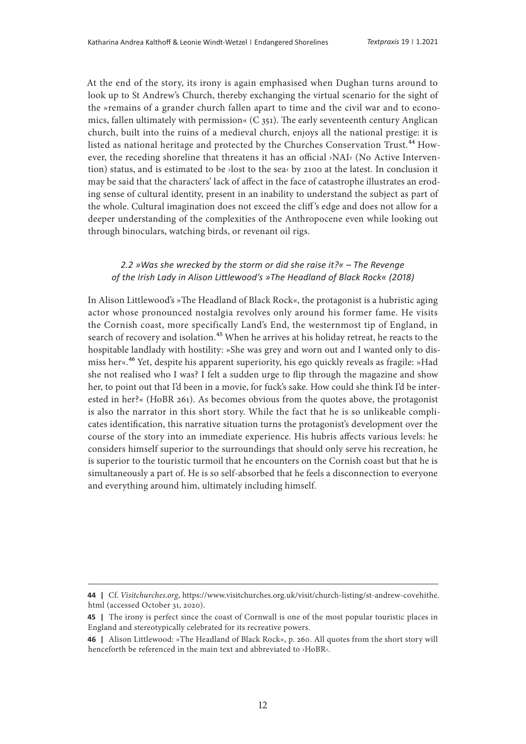At the end of the story, its irony is again emphasised when Dughan turns around to look up to St Andrew's Church, thereby exchanging the virtual scenario for the sight of the »remains of a grander church fallen apart to time and the civil war and to economics, fallen ultimately with permission«  $(C_{351})$ . The early seventeenth century Anglican church, built into the ruins of a medieval church, enjoys all the national prestige: it is listed as national heritage and protected by the Churches Conservation Trust.<sup>44</sup> However, the receding shoreline that threatens it has an official ›NAI‹ (No Active Intervention) status, and is estimated to be ›lost to the sea‹ by 2100 at the latest. In conclusion it may be said that the characters' lack of affect in the face of catastrophe illustrates an eroding sense of cultural identity, present in an inability to understand the subject as part of the whole. Cultural imagination does not exceed the cliff 's edge and does not allow for a deeper understanding of the complexities of the Anthropocene even while looking out through binoculars, watching birds, or revenant oil rigs.

#### *2.2 »Was she wrecked by the storm or did she raise it?« – The Revenge of the Irish Lady in Alison Littlewood's »The Headland of Black Rock« (2018)*

In Alison Littlewood's »The Headland of Black Rock«, the protagonist is a hubristic aging actor whose pronounced nostalgia revolves only around his former fame. He visits the Cornish coast, more specifically Land's End, the westernmost tip of England, in search of recovery and isolation.<sup>45</sup> When he arrives at his holiday retreat, he reacts to the hospitable landlady with hostility: »She was grey and worn out and I wanted only to dismiss her«.46 Yet, despite his apparent superiority, his ego quickly reveals as fragile: »Had she not realised who I was? I felt a sudden urge to flip through the magazine and show her, to point out that I'd been in a movie, for fuck's sake. How could she think I'd be interested in her?« (HoBR 261). As becomes obvious from the quotes above, the protagonist is also the narrator in this short story. While the fact that he is so unlikeable complicates identification, this narrative situation turns the protagonist's development over the course of the story into an immediate experience. His hubris affects various levels: he considers himself superior to the surroundings that should only serve his recreation, he is superior to the touristic turmoil that he encounters on the Cornish coast but that he is simultaneously a part of. He is so self-absorbed that he feels a disconnection to everyone and everything around him, ultimately including himself.

**<sup>44 |</sup>**  Cf. *Visitchurches.org*, [https://www.visitchurches.org.uk/visit/church-listing/st-andrew-covehithe.](https://www.visitchurches.org.uk/visit/church-listing/st-andrew-covehithe.html) [html](https://www.visitchurches.org.uk/visit/church-listing/st-andrew-covehithe.html) (accessed October 31, 2020).

**<sup>45</sup>** | The irony is perfect since the coast of Cornwall is one of the most popular touristic places in England and stereotypically celebrated for its recreative powers.

**<sup>46</sup>** | Alison Littlewood: »The Headland of Black Rock«, p. 260. All quotes from the short story will henceforth be referenced in the main text and abbreviated to ›HoBR‹.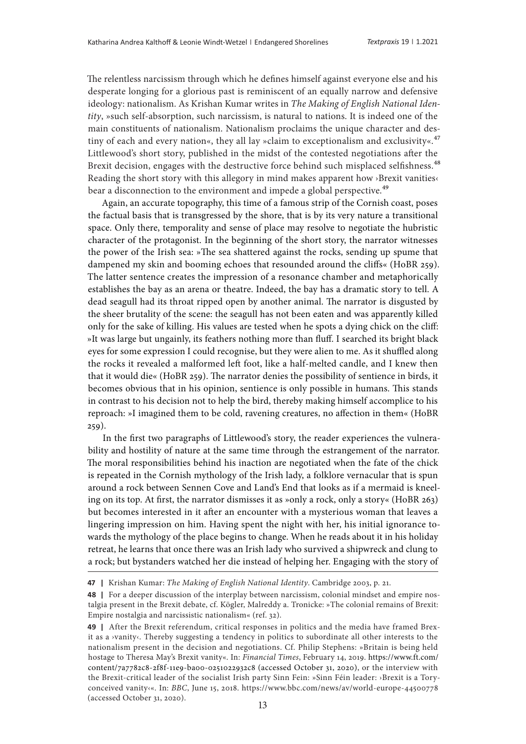The relentless narcissism through which he defines himself against everyone else and his desperate longing for a glorious past is reminiscent of an equally narrow and defensive ideology: nationalism. As Krishan Kumar writes in *The Making of English National Identity*, »such self-absorption, such narcissism, is natural to nations. It is indeed one of the main constituents of nationalism. Nationalism proclaims the unique character and destiny of each and every nation«, they all lay »claim to exceptionalism and exclusivity«.<sup>47</sup> Littlewood's short story, published in the midst of the contested negotiations after the Brexit decision, engages with the destructive force behind such misplaced selfishness.<sup>48</sup> Reading the short story with this allegory in mind makes apparent how ›Brexit vanities‹ bear a disconnection to the environment and impede a global perspective.<sup>49</sup>

Again, an accurate topography, this time of a famous strip of the Cornish coast, poses the factual basis that is transgressed by the shore, that is by its very nature a transitional space. Only there, temporality and sense of place may resolve to negotiate the hubristic character of the protagonist. In the beginning of the short story, the narrator witnesses the power of the Irish sea: »The sea shattered against the rocks, sending up spume that dampened my skin and booming echoes that resounded around the cliffs« (HoBR 259). The latter sentence creates the impression of a resonance chamber and metaphorically establishes the bay as an arena or theatre. Indeed, the bay has a dramatic story to tell. A dead seagull had its throat ripped open by another animal. The narrator is disgusted by the sheer brutality of the scene: the seagull has not been eaten and was apparently killed only for the sake of killing. His values are tested when he spots a dying chick on the cliff: »It was large but ungainly, its feathers nothing more than fluff. I searched its bright black eyes for some expression I could recognise, but they were alien to me. As it shuffled along the rocks it revealed a malformed left foot, like a half-melted candle, and I knew then that it would die« (HoBR 259). The narrator denies the possibility of sentience in birds, it becomes obvious that in his opinion, sentience is only possible in humans. This stands in contrast to his decision not to help the bird, thereby making himself accomplice to his reproach: »I imagined them to be cold, ravening creatures, no affection in them« (HoBR 259).

In the first two paragraphs of Littlewood's story, the reader experiences the vulnerability and hostility of nature at the same time through the estrangement of the narrator. The moral responsibilities behind his inaction are negotiated when the fate of the chick is repeated in the Cornish mythology of the Irish lady, a folklore vernacular that is spun around a rock between Sennen Cove and Land's End that looks as if a mermaid is kneeling on its top. At first, the narrator dismisses it as »only a rock, only a story« (HoBR 263) but becomes interested in it after an encounter with a mysterious woman that leaves a lingering impression on him. Having spent the night with her, his initial ignorance towards the mythology of the place begins to change. When he reads about it in his holiday retreat, he learns that once there was an Irish lady who survived a shipwreck and clung to a rock; but bystanders watched her die instead of helping her. Engaging with the story of

**<sup>47</sup>** | Krishan Kumar: *The Making of English National Identity*. Cambridge 2003, p. 21.

**<sup>48</sup>** | For a deeper discussion of the interplay between narcissism, colonial mindset and empire nostalgia present in the Brexit debate, cf. Kögler, Malreddy a. Tronicke: »The colonial remains of Brexit: Empire nostalgia and narcissistic nationalism« (ref. 32).

**<sup>49</sup>** | After the Brexit referendum, critical responses in politics and the media have framed Brexit as a ›vanity‹. Thereby suggesting a tendency in politics to subordinate all other interests to the nationalism present in the decision and negotiations. Cf. Philip Stephens: »Britain is being held hostage to Theresa May's Brexit vanity«. In: *Financial Times*, February 14, 2019. [https://www.ft.com/](https://www.ft.com/content/7a7782c8-2f8f-11e9-ba00-0251022932c8) [content/7a7782c8-2f8f-11e9-ba00-0251022932c8](https://www.ft.com/content/7a7782c8-2f8f-11e9-ba00-0251022932c8) (accessed October 31, 2020), or the interview with the Brexit-critical leader of the socialist Irish party Sinn Fein: »Sinn Féin leader: ›Brexit is a Toryconceived vanity‹«. In: *BBC*, June 15, 2018. <https://www.bbc.com/news/av/world-europe-44500778> (accessed October 31, 2020).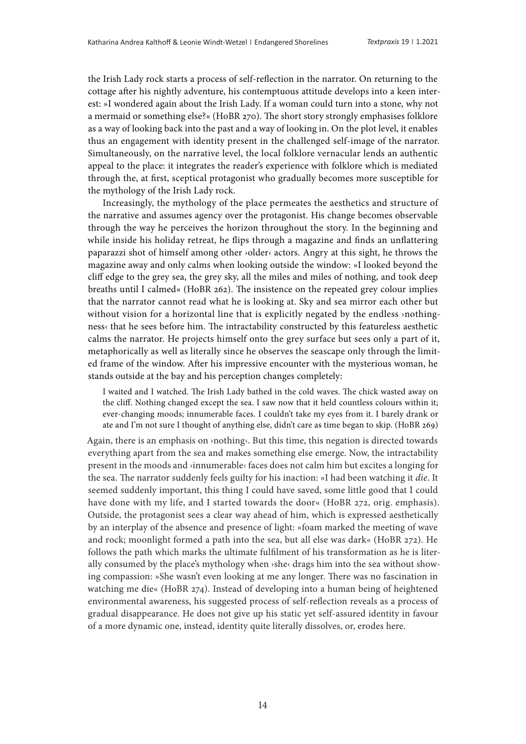the Irish Lady rock starts a process of self-reflection in the narrator. On returning to the cottage after his nightly adventure, his contemptuous attitude develops into a keen interest: »I wondered again about the Irish Lady. If a woman could turn into a stone, why not a mermaid or something else?« (HoBR 270). The short story strongly emphasises folklore as a way of looking back into the past and a way of looking in. On the plot level, it enables thus an engagement with identity present in the challenged self-image of the narrator. Simultaneously, on the narrative level, the local folklore vernacular lends an authentic appeal to the place: it integrates the reader's experience with folklore which is mediated through the, at first, sceptical protagonist who gradually becomes more susceptible for the mythology of the Irish Lady rock.

Increasingly, the mythology of the place permeates the aesthetics and structure of the narrative and assumes agency over the protagonist. His change becomes observable through the way he perceives the horizon throughout the story. In the beginning and while inside his holiday retreat, he flips through a magazine and finds an unflattering paparazzi shot of himself among other ›older‹ actors. Angry at this sight, he throws the magazine away and only calms when looking outside the window: »I looked beyond the cliff edge to the grey sea, the grey sky, all the miles and miles of nothing, and took deep breaths until I calmed« (HoBR 262). The insistence on the repeated grey colour implies that the narrator cannot read what he is looking at. Sky and sea mirror each other but without vision for a horizontal line that is explicitly negated by the endless >nothingness‹ that he sees before him. The intractability constructed by this featureless aesthetic calms the narrator. He projects himself onto the grey surface but sees only a part of it, metaphorically as well as literally since he observes the seascape only through the limited frame of the window. After his impressive encounter with the mysterious woman, he stands outside at the bay and his perception changes completely:

I waited and I watched. The Irish Lady bathed in the cold waves. The chick wasted away on the cliff. Nothing changed except the sea. I saw now that it held countless colours within it; ever-changing moods; innumerable faces. I couldn't take my eyes from it. I barely drank or ate and I'm not sure I thought of anything else, didn't care as time began to skip. (HoBR 269)

Again, there is an emphasis on ›nothing‹. But this time, this negation is directed towards everything apart from the sea and makes something else emerge. Now, the intractability present in the moods and ›innumerable‹ faces does not calm him but excites a longing for the sea. The narrator suddenly feels guilty for his inaction: »I had been watching it *die*. It seemed suddenly important, this thing I could have saved, some little good that I could have done with my life, and I started towards the door« (HoBR 272, orig. emphasis). Outside, the protagonist sees a clear way ahead of him, which is expressed aesthetically by an interplay of the absence and presence of light: »foam marked the meeting of wave and rock; moonlight formed a path into the sea, but all else was dark« (HoBR 272). He follows the path which marks the ultimate fulfilment of his transformation as he is literally consumed by the place's mythology when ›she‹ drags him into the sea without showing compassion: »She wasn't even looking at me any longer. There was no fascination in watching me die« (HoBR 274). Instead of developing into a human being of heightened environmental awareness, his suggested process of self-reflection reveals as a process of gradual disappearance. He does not give up his static yet self-assured identity in favour of a more dynamic one, instead, identity quite literally dissolves, or, erodes here.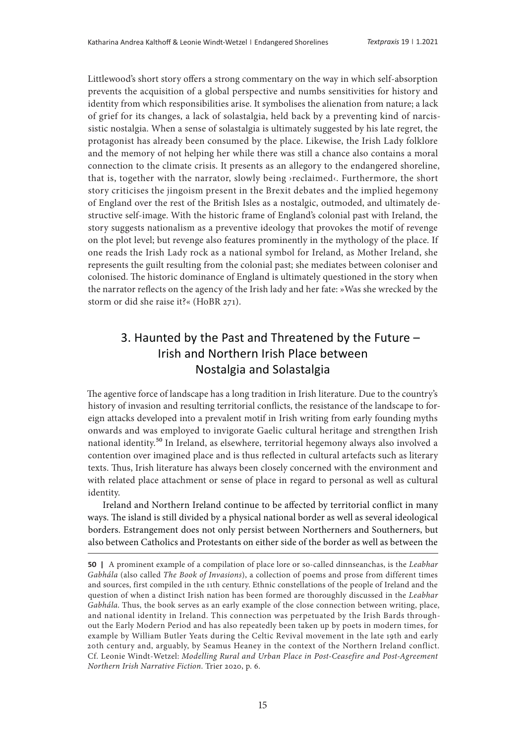Littlewood's short story offers a strong commentary on the way in which self-absorption prevents the acquisition of a global perspective and numbs sensitivities for history and identity from which responsibilities arise. It symbolises the alienation from nature; a lack of grief for its changes, a lack of solastalgia, held back by a preventing kind of narcissistic nostalgia. When a sense of solastalgia is ultimately suggested by his late regret, the protagonist has already been consumed by the place. Likewise, the Irish Lady folklore and the memory of not helping her while there was still a chance also contains a moral connection to the climate crisis. It presents as an allegory to the endangered shoreline, that is, together with the narrator, slowly being ›reclaimed‹. Furthermore, the short story criticises the jingoism present in the Brexit debates and the implied hegemony of England over the rest of the British Isles as a nostalgic, outmoded, and ultimately destructive self-image. With the historic frame of England's colonial past with Ireland, the story suggests nationalism as a preventive ideology that provokes the motif of revenge on the plot level; but revenge also features prominently in the mythology of the place. If one reads the Irish Lady rock as a national symbol for Ireland, as Mother Ireland, she represents the guilt resulting from the colonial past; she mediates between coloniser and colonised. The historic dominance of England is ultimately questioned in the story when the narrator reflects on the agency of the Irish lady and her fate: »Was she wrecked by the storm or did she raise it?« (HoBR 271).

# 3. Haunted by the Past and Threatened by the Future – Irish and Northern Irish Place between Nostalgia and Solastalgia

The agentive force of landscape has a long tradition in Irish literature. Due to the country's history of invasion and resulting territorial conflicts, the resistance of the landscape to foreign attacks developed into a prevalent motif in Irish writing from early founding myths onwards and was employed to invigorate Gaelic cultural heritage and strengthen Irish national identity.50 In Ireland, as elsewhere, territorial hegemony always also involved a contention over imagined place and is thus reflected in cultural artefacts such as literary texts. Thus, Irish literature has always been closely concerned with the environment and with related place attachment or sense of place in regard to personal as well as cultural identity.

Ireland and Northern Ireland continue to be affected by territorial conflict in many ways. The island is still divided by a physical national border as well as several ideological borders. Estrangement does not only persist between Northerners and Southerners, but also between Catholics and Protestants on either side of the border as well as between the

**<sup>50 |</sup>**  A prominent example of a compilation of place lore or so-called dinnseanchas, is the *Leabhar Gabhála* (also called *The Book of Invasions*), a collection of poems and prose from different times and sources, first compiled in the 11th century. Ethnic constellations of the people of Ireland and the question of when a distinct Irish nation has been formed are thoroughly discussed in the *Leabhar Gabhála.* Thus, the book serves as an early example of the close connection between writing, place, and national identity in Ireland. This connection was perpetuated by the Irish Bards throughout the Early Modern Period and has also repeatedly been taken up by poets in modern times, for example by William Butler Yeats during the Celtic Revival movement in the late 19th and early 20th century and, arguably, by Seamus Heaney in the context of the Northern Ireland conflict. Cf. Leonie Windt-Wetzel: *Modelling Rural and Urban Place in Post-Ceasefire and Post-Agreement Northern Irish Narrative Fiction*. Trier 2020, p. 6.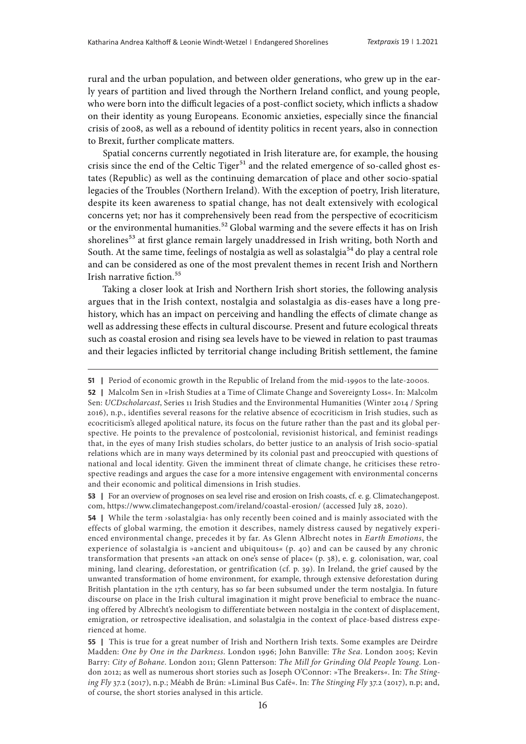rural and the urban population, and between older generations, who grew up in the early years of partition and lived through the Northern Ireland conflict, and young people, who were born into the difficult legacies of a post-conflict society, which inflicts a shadow on their identity as young Europeans. Economic anxieties, especially since the financial crisis of 2008, as well as a rebound of identity politics in recent years, also in connection to Brexit, further complicate matters.

Spatial concerns currently negotiated in Irish literature are, for example, the housing crisis since the end of the Celtic Tiger $51$  and the related emergence of so-called ghost estates (Republic) as well as the continuing demarcation of place and other socio-spatial legacies of the Troubles (Northern Ireland). With the exception of poetry, Irish literature, despite its keen awareness to spatial change, has not dealt extensively with ecological concerns yet; nor has it comprehensively been read from the perspective of ecocriticism or the environmental humanities.<sup>52</sup> Global warming and the severe effects it has on Irish shorelines<sup>53</sup> at first glance remain largely unaddressed in Irish writing, both North and South. At the same time, feelings of nostalgia as well as solastalgia<sup>54</sup> do play a central role and can be considered as one of the most prevalent themes in recent Irish and Northern Irish narrative fiction.<sup>55</sup>

Taking a closer look at Irish and Northern Irish short stories, the following analysis argues that in the Irish context, nostalgia and solastalgia as dis-eases have a long prehistory, which has an impact on perceiving and handling the effects of climate change as well as addressing these effects in cultural discourse. Present and future ecological threats such as coastal erosion and rising sea levels have to be viewed in relation to past traumas and their legacies inflicted by territorial change including British settlement, the famine

**<sup>51</sup>** Period of economic growth in the Republic of Ireland from the mid-1990s to the late-2000s.

**<sup>52</sup>** | Malcolm Sen in »Irish Studies at a Time of Climate Change and Sovereignty Loss«. In: Malcolm Sen: *UCDscholarcast*, Series 11 Irish Studies and the Environmental Humanities (Winter 2014 / Spring 2016), n.p., identifies several reasons for the relative absence of ecocriticism in Irish studies, such as ecocriticism's alleged apolitical nature, its focus on the future rather than the past and its global perspective. He points to the prevalence of postcolonial, revisionist historical, and feminist readings that, in the eyes of many Irish studies scholars, do better justice to an analysis of Irish socio-spatial relations which are in many ways determined by its colonial past and preoccupied with questions of national and local identity. Given the imminent threat of climate change, he criticises these retrospective readings and argues the case for a more intensive engagement with environmental concerns and their economic and political dimensions in Irish studies.

**<sup>53</sup>** | For an overview of prognoses on sea level rise and erosion on Irish coasts, cf. e. g. [Climatechangepost.](http://Climatechangepost.com) [com,](http://Climatechangepost.com)<https://www.climatechangepost.com/ireland/coastal-erosion/> (accessed July 28, 2020).

**<sup>54</sup>** | While the term *s*olastalgia has only recently been coined and is mainly associated with the effects of global warming, the emotion it describes, namely distress caused by negatively experienced environmental change, precedes it by far. As Glenn Albrecht notes in *Earth Emotions*, the experience of solastalgia is »ancient and ubiquitous« (p. 40) and can be caused by any chronic transformation that presents »an attack on one's sense of place« (p. 38), e. g. colonisation, war, coal mining, land clearing, deforestation, or gentrification (cf. p. 39). In Ireland, the grief caused by the unwanted transformation of home environment, for example, through extensive deforestation during British plantation in the 17th century, has so far been subsumed under the term nostalgia. In future discourse on place in the Irish cultural imagination it might prove beneficial to embrace the nuancing offered by Albrecht's neologism to differentiate between nostalgia in the context of displacement, emigration, or retrospective idealisation, and solastalgia in the context of place-based distress experienced at home.

**<sup>55</sup>** | This is true for a great number of Irish and Northern Irish texts. Some examples are Deirdre Madden: *One by One in the Darkness*. London 1996; John Banville: *The Sea*. London 2005; Kevin Barry: *City of Bohane*. London 2011; Glenn Patterson: *The Mill for Grinding Old People Young*. London 2012; as well as numerous short stories such as Joseph O'Connor: »The Breakers«. In: *The Stinging Fly* 37.2 (2017), n.p.; Méabh de Brún: »Liminal Bus Café«. In: *The Stinging Fly* 37.2 (2017), n.p; and, of course, the short stories analysed in this article.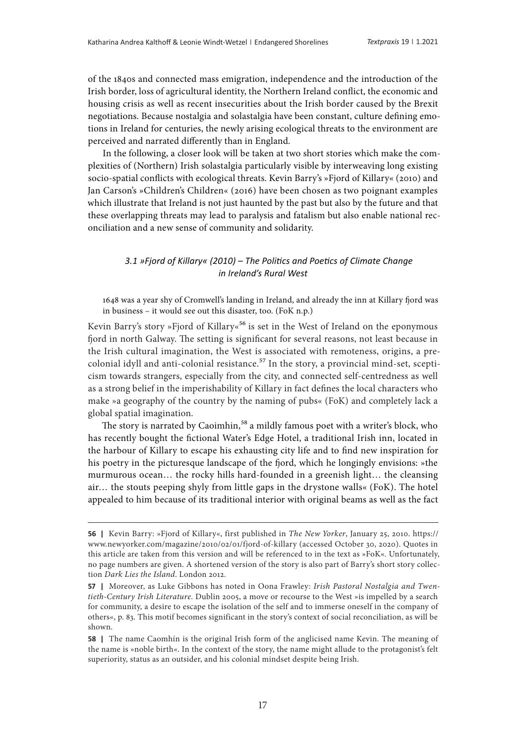of the 1840s and connected mass emigration, independence and the introduction of the Irish border, loss of agricultural identity, the Northern Ireland conflict, the economic and housing crisis as well as recent insecurities about the Irish border caused by the Brexit negotiations. Because nostalgia and solastalgia have been constant, culture defining emotions in Ireland for centuries, the newly arising ecological threats to the environment are perceived and narrated differently than in England.

In the following, a closer look will be taken at two short stories which make the complexities of (Northern) Irish solastalgia particularly visible by interweaving long existing socio-spatial conflicts with ecological threats. Kevin Barry's »Fjord of Killary« (2010) and Jan Carson's »Children's Children« (2016) have been chosen as two poignant examples which illustrate that Ireland is not just haunted by the past but also by the future and that these overlapping threats may lead to paralysis and fatalism but also enable national reconciliation and a new sense of community and solidarity.

#### *3.1 »Fjord of Killary« (2010) – The Politics and Poetics of Climate Change in Ireland's Rural West*

1648 was a year shy of Cromwell's landing in Ireland, and already the inn at Killary fjord was in business – it would see out this disaster, too. (FoK n.p.)

Kevin Barry's story »Fjord of Killary«<sup>56</sup> is set in the West of Ireland on the eponymous fjord in north Galway. The setting is significant for several reasons, not least because in the Irish cultural imagination, the West is associated with remoteness, origins, a precolonial idyll and anti-colonial resistance.<sup>57</sup> In the story, a provincial mind-set, scepticism towards strangers, especially from the city, and connected self-centredness as well as a strong belief in the imperishability of Killary in fact defines the local characters who make »a geography of the country by the naming of pubs« (FoK) and completely lack a global spatial imagination.

The story is narrated by Caoimhin,<sup>58</sup> a mildly famous poet with a writer's block, who has recently bought the fictional Water's Edge Hotel, a traditional Irish inn, located in the harbour of Killary to escape his exhausting city life and to find new inspiration for his poetry in the picturesque landscape of the fjord, which he longingly envisions: »the murmurous ocean… the rocky hills hard-founded in a greenish light… the cleansing air… the stouts peeping shyly from little gaps in the drystone walls« (FoK). The hotel appealed to him because of its traditional interior with original beams as well as the fact

**<sup>56 |</sup>**  Kevin Barry: »Fjord of Killary«, first published in *The New Yorker*, January 25, 2010. [https://](https://www.newyorker.com/magazine/2010/02/01/fjord-of-killary) [www.newyorker.com/magazine/2010/02/01/fjord-of-killary](https://www.newyorker.com/magazine/2010/02/01/fjord-of-killary) (accessed October 30, 2020). Quotes in this article are taken from this version and will be referenced to in the text as »FoK«. Unfortunately, no page numbers are given. A shortened version of the story is also part of Barry's short story collection *Dark Lies the Island*. London 2012.

**<sup>57</sup>** | Moreover, as Luke Gibbons has noted in Oona Frawley: *Irish Pastoral Nostalgia and Twentieth-Century Irish Literature*. Dublin 2005, a move or recourse to the West »is impelled by a search for community, a desire to escape the isolation of the self and to immerse oneself in the company of others«, p. 83. This motif becomes significant in the story's context of social reconciliation, as will be shown.

**<sup>58</sup>** | The name Caomhín is the original Irish form of the anglicised name Kevin. The meaning of the name is »noble birth«. In the context of the story, the name might allude to the protagonist's felt superiority, status as an outsider, and his colonial mindset despite being Irish.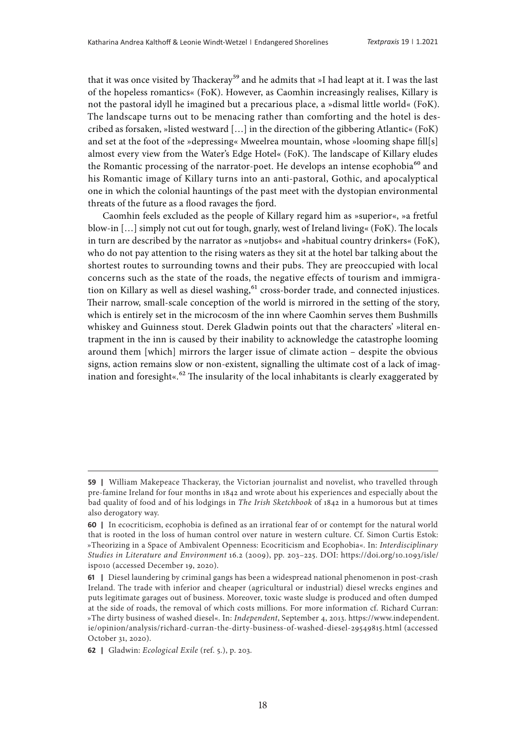that it was once visited by Thackeray<sup>59</sup> and he admits that »I had leapt at it. I was the last of the hopeless romantics« (FoK). However, as Caomhin increasingly realises, Killary is not the pastoral idyll he imagined but a precarious place, a »dismal little world« (FoK). The landscape turns out to be menacing rather than comforting and the hotel is described as forsaken, »listed westward […] in the direction of the gibbering Atlantic« (FoK) and set at the foot of the »depressing« Mweelrea mountain, whose »looming shape fill[s] almost every view from the Water's Edge Hotel« (FoK). The landscape of Killary eludes the Romantic processing of the narrator-poet. He develops an intense ecophobia<sup>60</sup> and his Romantic image of Killary turns into an anti-pastoral, Gothic, and apocalyptical one in which the colonial hauntings of the past meet with the dystopian environmental threats of the future as a flood ravages the fjord.

Caomhin feels excluded as the people of Killary regard him as »superior«, »a fretful blow-in […] simply not cut out for tough, gnarly, west of Ireland living« (FoK). The locals in turn are described by the narrator as »nutjobs« and »habitual country drinkers« (FoK), who do not pay attention to the rising waters as they sit at the hotel bar talking about the shortest routes to surrounding towns and their pubs. They are preoccupied with local concerns such as the state of the roads, the negative effects of tourism and immigration on Killary as well as diesel washing,<sup>61</sup> cross-border trade, and connected injustices. Their narrow, small-scale conception of the world is mirrored in the setting of the story, which is entirely set in the microcosm of the inn where Caomhin serves them Bushmills whiskey and Guinness stout. Derek Gladwin points out that the characters' »literal entrapment in the inn is caused by their inability to acknowledge the catastrophe looming around them [which] mirrors the larger issue of climate action – despite the obvious signs, action remains slow or non-existent, signalling the ultimate cost of a lack of imagination and foresight« $.62$  The insularity of the local inhabitants is clearly exaggerated by

**<sup>59</sup>** | William Makepeace Thackeray, the Victorian journalist and novelist, who travelled through pre-famine Ireland for four months in 1842 and wrote about his experiences and especially about the bad quality of food and of his lodgings in *The Irish Sketchbook* of 1842 in a humorous but at times also derogatory way.

**<sup>60</sup>** | In ecocriticism, ecophobia is defined as an irrational fear of or contempt for the natural world that is rooted in the loss of human control over nature in western culture. Cf. Simon Curtis Estok: »Theorizing in a Space of Ambivalent Openness: Ecocriticism and Ecophobia«. In: *Interdisciplinary Studies in Literature and Environment* 16.2 (2009), pp. 203–225. DOI: [https://doi.org/10.1093/isle/](https://doi.org/10.1093/isle/isp010) [isp010](https://doi.org/10.1093/isle/isp010) (accessed December 19, 2020).

**<sup>61</sup>** | Diesel laundering by criminal gangs has been a widespread national phenomenon in post-crash Ireland. The trade with inferior and cheaper (agricultural or industrial) diesel wrecks engines and puts legitimate garages out of business. Moreover, toxic waste sludge is produced and often dumped at the side of roads, the removal of which costs millions. For more information cf. Richard Curran: »The dirty business of washed diesel«. In: *Independent*, September 4, 2013. [https://www.independent.](https://www.independent.ie/opinion/analysis/richard-curran-the-dirty-business-of-washed-diesel-29549815.html) [ie/opinion/analysis/richard-curran-the-dirty-business-of-washed-diesel-29549815.html](https://www.independent.ie/opinion/analysis/richard-curran-the-dirty-business-of-washed-diesel-29549815.html) (accessed October 31, 2020).

**<sup>62 |</sup>**  Gladwin: *Ecological Exile* (ref. 5.), p. 203.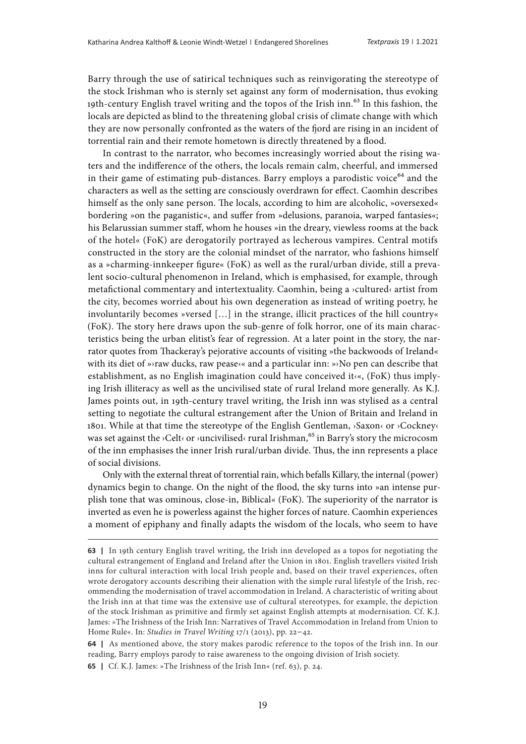Barry through the use of satirical techniques such as reinvigorating the stereotype of the stock Irishman who is sternly set against any form of modernisation, thus evoking 19th-century English travel writing and the topos of the Irish inn.<sup>63</sup> In this fashion, the locals are depicted as blind to the threatening global crisis of climate change with which they are now personally confronted as the waters of the fjord are rising in an incident of torrential rain and their remote hometown is directly threatened by a flood.

In contrast to the narrator, who becomes increasingly worried about the rising waters and the indifference of the others, the locals remain calm, cheerful, and immersed in their game of estimating pub-distances. Barry employs a parodistic voice<sup>64</sup> and the characters as well as the setting are consciously overdrawn for effect. Caomhin describes himself as the only sane person. The locals, according to him are alcoholic, »oversexed« bordering »on the paganistic«, and suffer from »delusions, paranoia, warped fantasies«; his Belarussian summer staff, whom he houses »in the dreary, viewless rooms at the back of the hotel« (FoK) are derogatorily portrayed as lecherous vampires. Central motifs constructed in the story are the colonial mindset of the narrator, who fashions himself as a »charming-innkeeper figure« (FoK) as well as the rural/urban divide, still a prevalent socio-cultural phenomenon in Ireland, which is emphasised, for example, through metafictional commentary and intertextuality. Caomhin, being a ›cultured‹ artist from the city, becomes worried about his own degeneration as instead of writing poetry, he involuntarily becomes »versed  $[\ldots]$  in the strange, illicit practices of the hill country« (FoK). The story here draws upon the sub-genre of folk horror, one of its main characteristics being the urban elitist's fear of regression. At a later point in the story, the narrator quotes from Thackeray's pejorative accounts of visiting »the backwoods of Ireland« with its diet of » raw ducks, raw pease  $\alpha$  and a particular inn: » No pen can describe that establishment, as no English imagination could have conceived it‹«, (FoK) thus implying Irish illiteracy as well as the uncivilised state of rural Ireland more generally. As K.J. James points out, in 19th-century travel writing, the Irish inn was stylised as a central setting to negotiate the cultural estrangement after the Union of Britain and Ireland in 1801. While at that time the stereotype of the English Gentleman, ›Saxon‹ or ›Cockney‹ was set against the  $\times$ Celt $\lt$  or  $\times$ uncivilised $\lt$  rural Irishman,  $^{65}$  in Barry's story the microcosm of the inn emphasises the inner Irish rural/urban divide. Thus, the inn represents a place of social divisions.

Only with the external threat of torrential rain, which befalls Killary, the internal (power) dynamics begin to change. On the night of the flood, the sky turns into »an intense purplish tone that was ominous, close-in, Biblical« (FoK). The superiority of the narrator is inverted as even he is powerless against the higher forces of nature. Caomhin experiences a moment of epiphany and finally adapts the wisdom of the locals, who seem to have

**64** | As mentioned above, the story makes parodic reference to the topos of the Irish inn. In our reading, Barry employs parody to raise awareness to the ongoing division of Irish society.

**65** | Cf. K.J. James: »The Irishness of the Irish Inn« (ref. 63), p. 24.

**<sup>63</sup>** I In 19th century English travel writing, the Irish inn developed as a topos for negotiating the cultural estrangement of England and Ireland after the Union in 1801. English travellers visited Irish inns for cultural interaction with local Irish people and, based on their travel experiences, often wrote derogatory accounts describing their alienation with the simple rural lifestyle of the Irish, recommending the modernisation of travel accommodation in Ireland. A characteristic of writing about the Irish inn at that time was the extensive use of cultural stereotypes, for example, the depiction of the stock Irishman as primitive and firmly set against English attempts at modernisation. Cf. K.J. James: »The Irishness of the Irish Inn: Narratives of Travel Accommodation in Ireland from Union to Home Rule«. In: *Studies in Travel Writing* 17/1 (2013), pp. 22–42.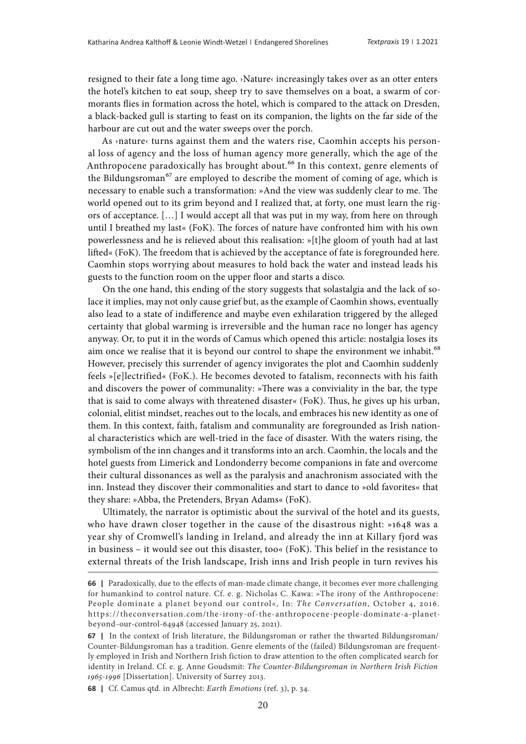resigned to their fate a long time ago. ›Nature‹ increasingly takes over as an otter enters the hotel's kitchen to eat soup, sheep try to save themselves on a boat, a swarm of cormorants flies in formation across the hotel, which is compared to the attack on Dresden, a black-backed gull is starting to feast on its companion, the lights on the far side of the harbour are cut out and the water sweeps over the porch.

As ›nature‹ turns against them and the waters rise, Caomhin accepts his personal loss of agency and the loss of human agency more generally, which the age of the Anthropocene paradoxically has brought about.<sup>66</sup> In this context, genre elements of the Bildungsroman<sup>67</sup> are employed to describe the moment of coming of age, which is necessary to enable such a transformation: »And the view was suddenly clear to me. The world opened out to its grim beyond and I realized that, at forty, one must learn the rigors of acceptance. […] I would accept all that was put in my way, from here on through until I breathed my last« (FoK). The forces of nature have confronted him with his own powerlessness and he is relieved about this realisation: »[t]he gloom of youth had at last lifted« (FoK). The freedom that is achieved by the acceptance of fate is foregrounded here. Caomhin stops worrying about measures to hold back the water and instead leads his guests to the function room on the upper floor and starts a disco.

On the one hand, this ending of the story suggests that solastalgia and the lack of solace it implies, may not only cause grief but, as the example of Caomhin shows, eventually also lead to a state of indifference and maybe even exhilaration triggered by the alleged certainty that global warming is irreversible and the human race no longer has agency anyway. Or, to put it in the words of Camus which opened this article: nostalgia loses its aim once we realise that it is beyond our control to shape the environment we inhabit.<sup>68</sup> However, precisely this surrender of agency invigorates the plot and Caomhin suddenly feels »[e]lectrified« (FoK.). He becomes devoted to fatalism, reconnects with his faith and discovers the power of communality: »There was a conviviality in the bar, the type that is said to come always with threatened disaster« (FoK). Thus, he gives up his urban, colonial, elitist mindset, reaches out to the locals, and embraces his new identity as one of them. In this context, faith, fatalism and communality are foregrounded as Irish national characteristics which are well-tried in the face of disaster. With the waters rising, the symbolism of the inn changes and it transforms into an arch. Caomhin, the locals and the hotel guests from Limerick and Londonderry become companions in fate and overcome their cultural dissonances as well as the paralysis and anachronism associated with the inn. Instead they discover their commonalities and start to dance to »old favorites« that they share: »Abba, the Pretenders, Bryan Adams« (FoK).

Ultimately, the narrator is optimistic about the survival of the hotel and its guests, who have drawn closer together in the cause of the disastrous night: »1648 was a year shy of Cromwell's landing in Ireland, and already the inn at Killary fjord was in business – it would see out this disaster, too« (FoK). This belief in the resistance to external threats of the Irish landscape, Irish inns and Irish people in turn revives his

**<sup>66</sup>** | Paradoxically, due to the effects of man-made climate change, it becomes ever more challenging for humankind to control nature. Cf. e. g. Nicholas C. Kawa: »The irony of the Anthropocene: People dominate a planet beyond our control«, In: *The Conversation*, October 4, 2016. [https://theconversation.com/the-irony-of-the-anthropocene-people-dominate-a-planet](https://theconversation.com/the-irony-of-the-anthropocene-people-dominate-a-planet-beyond-our-control-64948)[beyond-our-control-64948](https://theconversation.com/the-irony-of-the-anthropocene-people-dominate-a-planet-beyond-our-control-64948) (accessed January 25, 2021).

**<sup>67</sup>** I In the context of Irish literature, the Bildungsroman or rather the thwarted Bildungsroman/ Counter-Bildungsroman has a tradition. Genre elements of the (failed) Bildungsroman are frequently employed in Irish and Northern Irish fiction to draw attention to the often complicated search for identity in Ireland. Cf. e. g. Anne Goudsmit: *The Counter-Bildungsroman in Northern Irish Fiction 1965-1996* [Dissertation]. University of Surrey 2013.

**<sup>68 |</sup>**  Cf. Camus qtd. in Albrecht: *Earth Emotions* (ref. 3), p. 34.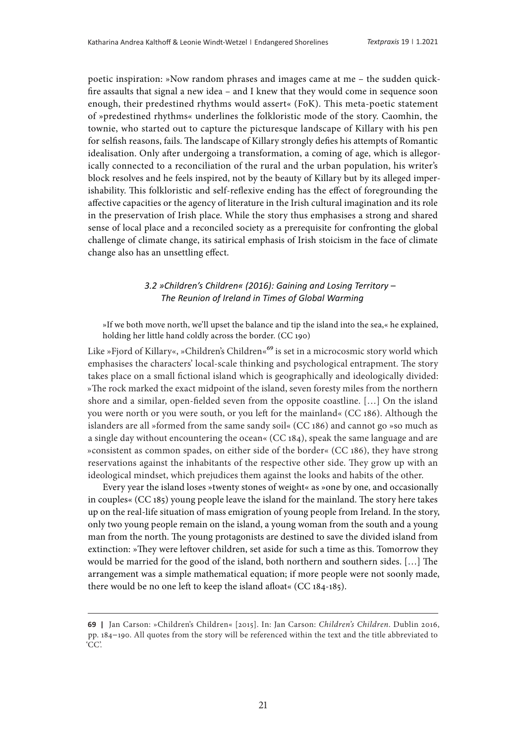poetic inspiration: »Now random phrases and images came at me – the sudden quickfire assaults that signal a new idea – and I knew that they would come in sequence soon enough, their predestined rhythms would assert« (FoK). This meta-poetic statement of »predestined rhythms« underlines the folkloristic mode of the story. Caomhin, the townie, who started out to capture the picturesque landscape of Killary with his pen for selfish reasons, fails. The landscape of Killary strongly defies his attempts of Romantic idealisation. Only after undergoing a transformation, a coming of age, which is allegorically connected to a reconciliation of the rural and the urban population, his writer's block resolves and he feels inspired, not by the beauty of Killary but by its alleged imperishability. This folkloristic and self-reflexive ending has the effect of foregrounding the affective capacities or the agency of literature in the Irish cultural imagination and its role in the preservation of Irish place. While the story thus emphasises a strong and shared sense of local place and a reconciled society as a prerequisite for confronting the global challenge of climate change, its satirical emphasis of Irish stoicism in the face of climate change also has an unsettling effect.

## *3.2 »Children's Children« (2016): Gaining and Losing Territory – The Reunion of Ireland in Times of Global Warming*

»If we both move north, we'll upset the balance and tip the island into the sea,« he explained, holding her little hand coldly across the border. (CC 190)

Like »Fjord of Killary«, »Children's Children«<sup>69</sup> is set in a microcosmic story world which emphasises the characters' local-scale thinking and psychological entrapment. The story takes place on a small fictional island which is geographically and ideologically divided: »The rock marked the exact midpoint of the island, seven foresty miles from the northern shore and a similar, open-fielded seven from the opposite coastline. […] On the island you were north or you were south, or you left for the mainland« (CC 186). Although the islanders are all »formed from the same sandy soil« (CC 186) and cannot go »so much as a single day without encountering the ocean« (CC 184), speak the same language and are »consistent as common spades, on either side of the border« (CC 186), they have strong reservations against the inhabitants of the respective other side. They grow up with an ideological mindset, which prejudices them against the looks and habits of the other.

Every year the island loses »twenty stones of weight« as »one by one, and occasionally in couples« (CC 185) young people leave the island for the mainland. The story here takes up on the real-life situation of mass emigration of young people from Ireland. In the story, only two young people remain on the island, a young woman from the south and a young man from the north. The young protagonists are destined to save the divided island from extinction: »They were leftover children, set aside for such a time as this. Tomorrow they would be married for the good of the island, both northern and southern sides. […] The arrangement was a simple mathematical equation; if more people were not soonly made, there would be no one left to keep the island afloat« (CC 184-185).

**<sup>69 |</sup>**  Jan Carson: »Children's Children« [2015]. In: Jan Carson: *Children's Children*. Dublin 2016, pp. 184–190. All quotes from the story will be referenced within the text and the title abbreviated to 'CC'.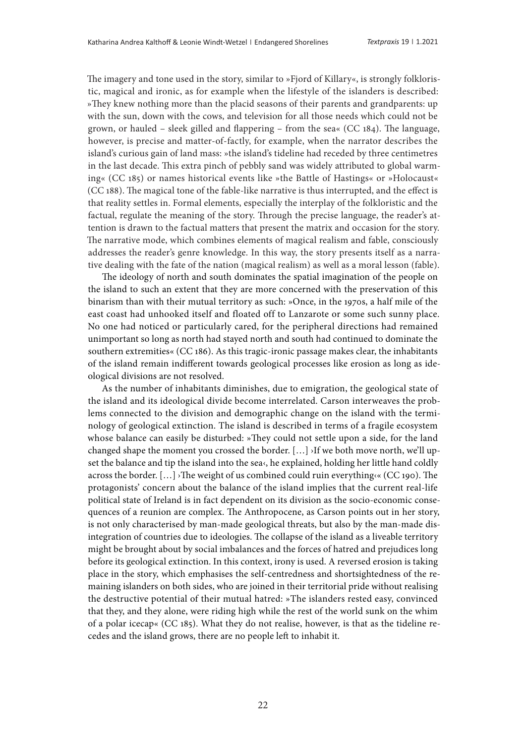The imagery and tone used in the story, similar to »Fjord of Killary«, is strongly folkloristic, magical and ironic, as for example when the lifestyle of the islanders is described: »They knew nothing more than the placid seasons of their parents and grandparents: up with the sun, down with the cows, and television for all those needs which could not be grown, or hauled – sleek gilled and flappering – from the sea« (CC 184). The language, however, is precise and matter-of-factly, for example, when the narrator describes the island's curious gain of land mass: »the island's tideline had receded by three centimetres in the last decade. This extra pinch of pebbly sand was widely attributed to global warming« (CC 185) or names historical events like »the Battle of Hastings« or »Holocaust« (CC 188). The magical tone of the fable-like narrative is thus interrupted, and the effect is that reality settles in. Formal elements, especially the interplay of the folkloristic and the factual, regulate the meaning of the story. Through the precise language, the reader's attention is drawn to the factual matters that present the matrix and occasion for the story. The narrative mode, which combines elements of magical realism and fable, consciously addresses the reader's genre knowledge. In this way, the story presents itself as a narrative dealing with the fate of the nation (magical realism) as well as a moral lesson (fable).

The ideology of north and south dominates the spatial imagination of the people on the island to such an extent that they are more concerned with the preservation of this binarism than with their mutual territory as such: »Once, in the 1970s, a half mile of the east coast had unhooked itself and floated off to Lanzarote or some such sunny place. No one had noticed or particularly cared, for the peripheral directions had remained unimportant so long as north had stayed north and south had continued to dominate the southern extremities« (CC 186). As this tragic-ironic passage makes clear, the inhabitants of the island remain indifferent towards geological processes like erosion as long as ideological divisions are not resolved.

As the number of inhabitants diminishes, due to emigration, the geological state of the island and its ideological divide become interrelated. Carson interweaves the problems connected to the division and demographic change on the island with the terminology of geological extinction. The island is described in terms of a fragile ecosystem whose balance can easily be disturbed: »They could not settle upon a side, for the land changed shape the moment you crossed the border.  $[...]$  >If we both move north, we'll upset the balance and tip the island into the sea<, he explained, holding her little hand coldly across the border.  $[\ldots]$  >The weight of us combined could ruin everything  $\langle$  (CC 190). The protagonists' concern about the balance of the island implies that the current real-life political state of Ireland is in fact dependent on its division as the socio-economic consequences of a reunion are complex. The Anthropocene, as Carson points out in her story, is not only characterised by man-made geological threats, but also by the man-made disintegration of countries due to ideologies. The collapse of the island as a liveable territory might be brought about by social imbalances and the forces of hatred and prejudices long before its geological extinction. In this context, irony is used. A reversed erosion is taking place in the story, which emphasises the self-centredness and shortsightedness of the remaining islanders on both sides, who are joined in their territorial pride without realising the destructive potential of their mutual hatred: »The islanders rested easy, convinced that they, and they alone, were riding high while the rest of the world sunk on the whim of a polar icecap« (CC 185). What they do not realise, however, is that as the tideline recedes and the island grows, there are no people left to inhabit it.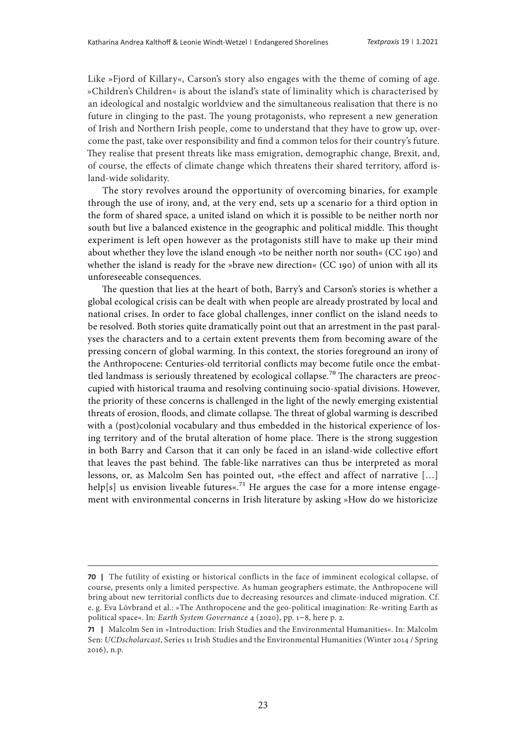Like »Fjord of Killary«, Carson's story also engages with the theme of coming of age. »Children's Children« is about the island's state of liminality which is characterised by an ideological and nostalgic worldview and the simultaneous realisation that there is no future in clinging to the past. The young protagonists, who represent a new generation of Irish and Northern Irish people, come to understand that they have to grow up, overcome the past, take over responsibility and find a common telos for their country's future. They realise that present threats like mass emigration, demographic change, Brexit, and, of course, the effects of climate change which threatens their shared territory, afford island-wide solidarity.

The story revolves around the opportunity of overcoming binaries, for example through the use of irony, and, at the very end, sets up a scenario for a third option in the form of shared space, a united island on which it is possible to be neither north nor south but live a balanced existence in the geographic and political middle. This thought experiment is left open however as the protagonists still have to make up their mind about whether they love the island enough »to be neither north nor south« (CC 190) and whether the island is ready for the »brave new direction« (CC 190) of union with all its unforeseeable consequences.

The question that lies at the heart of both, Barry's and Carson's stories is whether a global ecological crisis can be dealt with when people are already prostrated by local and national crises. In order to face global challenges, inner conflict on the island needs to be resolved. Both stories quite dramatically point out that an arrestment in the past paralyses the characters and to a certain extent prevents them from becoming aware of the pressing concern of global warming. In this context, the stories foreground an irony of the Anthropocene: Centuries-old territorial conflicts may become futile once the embattled landmass is seriously threatened by ecological collapse.<sup>70</sup> The characters are preoccupied with historical trauma and resolving continuing socio-spatial divisions. However, the priority of these concerns is challenged in the light of the newly emerging existential threats of erosion, floods, and climate collapse. The threat of global warming is described with a (post)colonial vocabulary and thus embedded in the historical experience of losing territory and of the brutal alteration of home place. There is the strong suggestion in both Barry and Carson that it can only be faced in an island-wide collective effort that leaves the past behind. The fable-like narratives can thus be interpreted as moral lessons, or, as Malcolm Sen has pointed out, »the effect and affect of narrative […] help[s] us envision liveable futures«.<sup>71</sup> He argues the case for a more intense engagement with environmental concerns in Irish literature by asking »How do we historicize

**<sup>70</sup>** | The futility of existing or historical conflicts in the face of imminent ecological collapse, of course, presents only a limited perspective. As human geographers estimate, the Anthropocene will bring about new territorial conflicts due to decreasing resources and climate-induced migration. Cf. e. g. Eva Lövbrand et al.: »The Anthropocene and the geo-political imagination: Re-writing Earth as political space«. In: *Earth System Governance* 4 (2020), pp. 1–8, here p. 2.

**<sup>71 |</sup>**  Malcolm Sen in »Introduction: Irish Studies and the Environmental Humanities«. In: Malcolm Sen: *UCDscholarcast*, Series 11 Irish Studies and the Environmental Humanities (Winter 2014 / Spring 2016), n.p.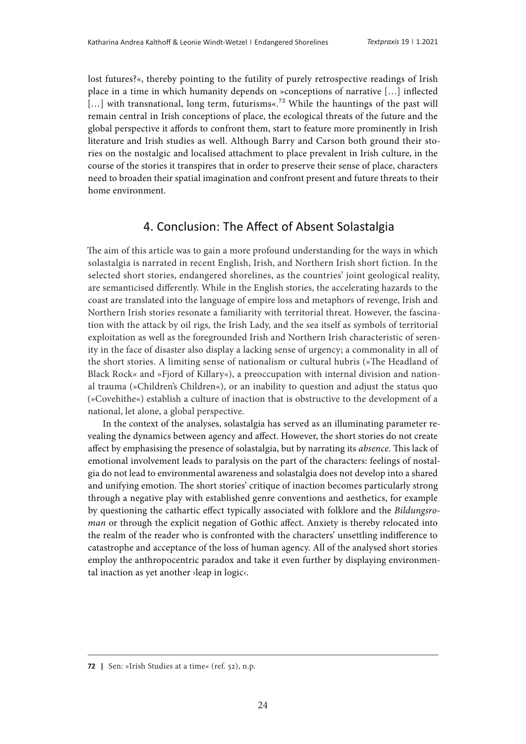lost futures?«, thereby pointing to the futility of purely retrospective readings of Irish place in a time in which humanity depends on »conceptions of narrative […] inflected [...] with transnational, long term, futurisms«.<sup>72</sup> While the hauntings of the past will remain central in Irish conceptions of place, the ecological threats of the future and the global perspective it affords to confront them, start to feature more prominently in Irish literature and Irish studies as well. Although Barry and Carson both ground their stories on the nostalgic and localised attachment to place prevalent in Irish culture, in the course of the stories it transpires that in order to preserve their sense of place, characters need to broaden their spatial imagination and confront present and future threats to their home environment.

## 4. Conclusion: The Affect of Absent Solastalgia

The aim of this article was to gain a more profound understanding for the ways in which solastalgia is narrated in recent English, Irish, and Northern Irish short fiction. In the selected short stories, endangered shorelines, as the countries' joint geological reality, are semanticised differently. While in the English stories, the accelerating hazards to the coast are translated into the language of empire loss and metaphors of revenge, Irish and Northern Irish stories resonate a familiarity with territorial threat. However, the fascination with the attack by oil rigs, the Irish Lady, and the sea itself as symbols of territorial exploitation as well as the foregrounded Irish and Northern Irish characteristic of serenity in the face of disaster also display a lacking sense of urgency; a commonality in all of the short stories. A limiting sense of nationalism or cultural hubris (»The Headland of Black Rock« and »Fjord of Killary«), a preoccupation with internal division and national trauma (»Children's Children«), or an inability to question and adjust the status quo (»Covehithe«) establish a culture of inaction that is obstructive to the development of a national, let alone, a global perspective.

In the context of the analyses, solastalgia has served as an illuminating parameter revealing the dynamics between agency and affect. However, the short stories do not create affect by emphasising the presence of solastalgia, but by narrating its *absence*. This lack of emotional involvement leads to paralysis on the part of the characters: feelings of nostalgia do not lead to environmental awareness and solastalgia does not develop into a shared and unifying emotion. The short stories' critique of inaction becomes particularly strong through a negative play with established genre conventions and aesthetics, for example by questioning the cathartic effect typically associated with folklore and the *Bildungsroman* or through the explicit negation of Gothic affect. Anxiety is thereby relocated into the realm of the reader who is confronted with the characters' unsettling indifference to catastrophe and acceptance of the loss of human agency. All of the analysed short stories employ the anthropocentric paradox and take it even further by displaying environmental inaction as yet another ›leap in logic‹.

**<sup>72</sup>** | Sen: »Irish Studies at a time« (ref. 52), n.p.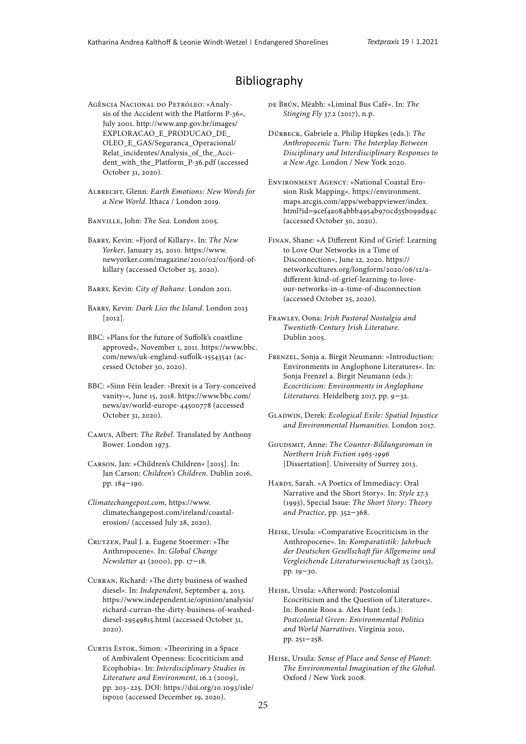# Bibliography

Agência Nacional do Petróleo: »Analysis of the Accident with the Platform P-36«, July 2001. [http://www.anp.gov.br/images/](http://www.anp.gov.br/images/EXPLORACAO_E_PRODUCAO_DE_OLEO_E_GAS/Seguranca_Operacional/Relat_incidentes/Analysis_of_the_Accident_with_the_Platform_P-36.pdf) [EXPLORACAO\\_E\\_PRODUCAO\\_DE\\_](http://www.anp.gov.br/images/EXPLORACAO_E_PRODUCAO_DE_OLEO_E_GAS/Seguranca_Operacional/Relat_incidentes/Analysis_of_the_Accident_with_the_Platform_P-36.pdf) [OLEO\\_E\\_GAS/Seguranca\\_Operacional/](http://www.anp.gov.br/images/EXPLORACAO_E_PRODUCAO_DE_OLEO_E_GAS/Seguranca_Operacional/Relat_incidentes/Analysis_of_the_Accident_with_the_Platform_P-36.pdf) [Relat\\_incidentes/Analysis\\_of\\_the\\_Acci](http://www.anp.gov.br/images/EXPLORACAO_E_PRODUCAO_DE_OLEO_E_GAS/Seguranca_Operacional/Relat_incidentes/Analysis_of_the_Accident_with_the_Platform_P-36.pdf)[dent\\_with\\_the\\_Platform\\_P-36.pdf](http://www.anp.gov.br/images/EXPLORACAO_E_PRODUCAO_DE_OLEO_E_GAS/Seguranca_Operacional/Relat_incidentes/Analysis_of_the_Accident_with_the_Platform_P-36.pdf) (accessed October 31, 2020).

Albrecht, Glenn: *Earth Emotions: New Words for a New World*. Ithaca / London 2019.

Banville, John: *The Sea*. London 2005.

Barry, Kevin: »Fjord of Killary«. In: *The New Yorker*, January 25, 2010. [https://www.](https://www.newyorker.com/magazine/2010/02/01/fjord-of-killary) [newyorker.com/magazine/2010/02/01/fjord-of](https://www.newyorker.com/magazine/2010/02/01/fjord-of-killary)[killary](https://www.newyorker.com/magazine/2010/02/01/fjord-of-killary) (accessed October 25, 2020).

Barry, Kevin: *City of Bohane*. London 2011.

- Barry, Kevin: *Dark Lies the Island*. London 2013 [2012].
- BBC: »Plans for the future of Suffolk's coastline approved«, November 1, 2011. [https://www.bbc.](https://www.bbc.com/news/uk-england-suffolk-15543541) [com/news/uk-england-suffolk-15543541](https://www.bbc.com/news/uk-england-suffolk-15543541) (accessed October 30, 2020).
- BBC: »Sinn Féin leader: ›Brexit is a Tory-conceived vanity‹«, June 15, 2018. [https://www.bbc.com/](https://www.bbc.com/news/av/world-europe-44500778) [news/av/world-europe-44500778](https://www.bbc.com/news/av/world-europe-44500778) (accessed October 31, 2020).
- Camus, Albert: *The Rebel*. Translated by Anthony Bower. London 1973.
- Carson, Jan: »Children's Children« [2015]. In: Jan Carson: *Children's Children*. Dublin 2016, pp. 184–190.

*Climatechangepost.com*, [https://www.](https://www.climatechangepost.com/ireland/coastal-erosion/) [climatechangepost.com/ireland/coastal](https://www.climatechangepost.com/ireland/coastal-erosion/)[erosion/](https://www.climatechangepost.com/ireland/coastal-erosion/) (accessed July 28, 2020).

Crutzen, Paul J. a. Eugene Stoermer: »The Anthropocene«. In: *Global Change Newsletter* 41 (2000), pp. 17–18.

- Curran, Richard: »The dirty business of washed diesel«. In: *Independent*, September 4, 2013. [https://www.independent.ie/opinion/analysis/](https://www.independent.ie/opinion/analysis/richard-curran-the-dirty-business-of-washed-diesel-29549815.html) [richard-curran-the-dirty-business-of-washed](https://www.independent.ie/opinion/analysis/richard-curran-the-dirty-business-of-washed-diesel-29549815.html)[diesel-29549815.html](https://www.independent.ie/opinion/analysis/richard-curran-the-dirty-business-of-washed-diesel-29549815.html) (accessed October 31, 2020).
- CURTIS ESTOK, Simon: »Theorizing in a Space of Ambivalent Openness: Ecocriticism and Ecophobia«. In: *Interdisciplinary Studies in Literature and Environment*, 16.2 (2009), pp. 203–225. DOI: [https://doi.org/10.1093/isle/](https://doi.org/10.1093/isle/isp010) [isp010](https://doi.org/10.1093/isle/isp010) (accessed December 19, 2020).
- de Brún, Méabh: »Liminal Bus Café«. In: *The Stinging Fly* 37.2 (2017), n.p.
- Dürbeck, Gabriele a. Philip Hüpkes (eds.): *The Anthropocenic Turn: The Interplay Between Disciplinary and Interdisciplinary Responses to a New Age*. London / New York 2020.
- Environment Agency: »National Coastal Erosion Risk Mapping«. [https://environment.](https://environment.maps.arcgis.com/apps/webappviewer/index.html?id=9cef4a084bbb4954b970cd35b099d94c) [maps.arcgis.com/apps/webappviewer/index.](https://environment.maps.arcgis.com/apps/webappviewer/index.html?id=9cef4a084bbb4954b970cd35b099d94c) [html?id=9cef4a084bbb4954b970cd35b099d94c](https://environment.maps.arcgis.com/apps/webappviewer/index.html?id=9cef4a084bbb4954b970cd35b099d94c) (accessed October 30, 2020).
- Finan, Shane: »A Different Kind of Grief: Learning to Love Our Networks in a Time of Disconnection«, June 12, 2020. [https://](https://networkcultures.org/longform/2020/06/12/a-different-kind-of-grief-learning-to-love-our-networks-in-a-time-of-disconnection) [networkcultures.org/longform/2020/06/12/a](https://networkcultures.org/longform/2020/06/12/a-different-kind-of-grief-learning-to-love-our-networks-in-a-time-of-disconnection)[different-kind-of-grief-learning-to-love](https://networkcultures.org/longform/2020/06/12/a-different-kind-of-grief-learning-to-love-our-networks-in-a-time-of-disconnection)[our-networks-in-a-time-of-disconnection](https://networkcultures.org/longform/2020/06/12/a-different-kind-of-grief-learning-to-love-our-networks-in-a-time-of-disconnection)  (accessed October 25, 2020).
- Frawley, Oona: *Irish Pastoral Nostalgia and Twentieth-Century Irish Literature*. Dublin 2005.

Frenzel, Sonja a. Birgit Neumann: »Introduction: Environments in Anglophone Literatures«. In: Sonja Frenzel a. Birgit Neumann (eds.): *Ecocriticism: Environments in Anglophone Literatures*. Heidelberg 2017, pp. 9–32.

- Gladwin, Derek: *Ecological Exile: Spatial Injustice and Environmental Humanities*. London 2017.
- GOUDSMIT, Anne: The Counter-Bildungsroman in *Northern Irish Fiction 1965-1996* [Dissertation]. University of Surrey 2013.
- HARDY, Sarah. »A Poetics of Immediacy: Oral Narrative and the Short Story«. In: *Style* 27.3 (1993), Special Issue: *The Short Story: Theory and Practice*, pp. 352–368.
- Heise, Ursula: »Comparative Ecocriticism in the Anthropocene«. In: *Komparatistik: Jahrbuch der Deutschen Gesellschaft für Allgemeine und Vergleichende Literaturwissenschaft* 25 (2013), pp. 19–30.
- Heise, Ursula: »Afterword: Postcolonial Ecocriticism and the Question of Literature«. In: Bonnie Roos a. Alex Hunt (eds.): *Postcolonial Green: Environmental Politics and World Narratives*. Virginia 2010, pp. 251–258.
- Heise, Ursula: *Sense of Place and Sense of Planet*: *The Environmental Imagination of the Global*. Oxford / New York 2008.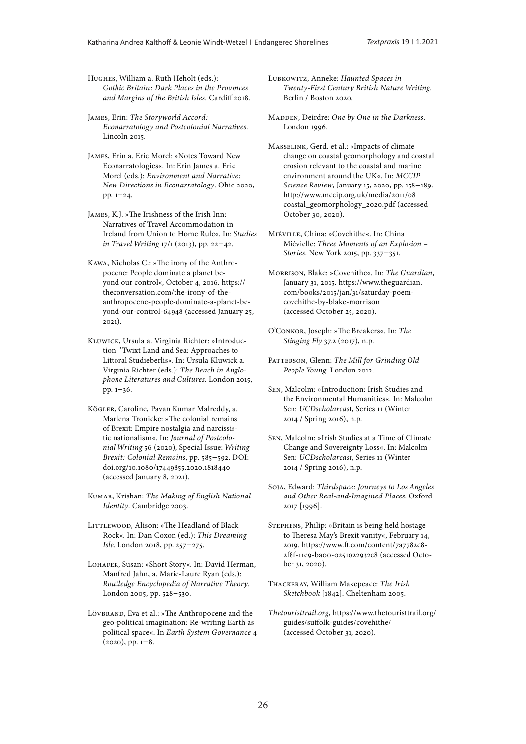Hughes, William a. Ruth Heholt (eds.): *Gothic Britain: Dark Places in the Provinces and Margins of the British Isles*. Cardiff 2018.

James, Erin: *The Storyworld Accord: Econarratology and Postcolonial Narratives*. Lincoln 2015.

James, Erin a. Eric Morel: »Notes Toward New Econarratologies«. In: Erin James a. Eric Morel (eds.): *Environment and Narrative: New Directions in Econarratology*. Ohio 2020, pp. 1–24.

James, K.J. »The Irishness of the Irish Inn: Narratives of Travel Accommodation in Ireland from Union to Home Rule«. In: *Studies in Travel Writing* 17/1 (2013), pp. 22–42.

Kawa, Nicholas C.: »The irony of the Anthropocene: People dominate a planet beyond our control«, October 4, 2016. https:// theconversation.com/the-irony-of-theanthropocene-people-dominate-a-planet-beyond-our-control-64948 (accessed January 25, 2021).

Kluwick, Ursula a. Virginia Richter: »Introduction: 'Twixt Land and Sea: Approaches to Littoral Studieberlis«. In: Ursula Kluwick a. Virginia Richter (eds.): *The Beach in Anglophone Literatures and Cultures*. London 2015, pp. 1–36.

Kögler, Caroline, Pavan Kumar Malreddy, a. Marlena Tronicke: »The colonial remains of Brexit: Empire nostalgia and narcissistic nationalism«. In: *Journal of Postcolonial Writing* 56 (2020), Special Issue: *Writing Brexit: Colonial Remains*, pp. 585–592. DOI: [doi.org/10.1080/17449855.2020.1818440](http://doi.org/10.1080/17449855.2020.1818440) (accessed January 8, 2021).

Kumar, Krishan: *The Making of English National Identity*. Cambridge 2003.

LITTLEWOOD, Alison: »The Headland of Black Rock«. In: Dan Coxon (ed.): *This Dreaming Isle.* London 2018, pp. 257–275.

Lohafer, Susan: »Short Story«. In: David Herman, Manfred Jahn, a. Marie-Laure Ryan (eds.): *Routledge Encyclopedia of Narrative Theory*. London 2005, pp. 528–530.

Lövbrand, Eva et al.: »The Anthropocene and the geo-political imagination: Re-writing Earth as political space«. In *Earth System Governance* 4  $(2020)$ , pp.  $1-8$ .

Lubkowitz, Anneke: *Haunted Spaces in Twenty-First Century British Nature Writing*. Berlin / Boston 2020.

MADDEN, Deirdre: One by One in the Darkness. London 1996.

Masselink, Gerd. et al.: »Impacts of climate change on coastal geomorphology and coastal erosion relevant to the coastal and marine environment around the UK«. In: *MCCIP Science Review*, January 15, 2020, pp. 158–189. [http://www.mccip.org.uk/media/2011/08\\_](http://www.mccip.org.uk/media/2011/08_coastal_geomorphology_2020.pdf) [coastal\\_geomorphology\\_2020.pdf](http://www.mccip.org.uk/media/2011/08_coastal_geomorphology_2020.pdf) (accessed October 30, 2020).

Miéville, China: »Covehithe«. In: China Miévielle: *Three Moments of an Explosion – Stories*. New York 2015, pp. 337–351.

Morrison, Blake: »Covehithe«. In: *The Guardian*, January 31, 2015. [https://www.theguardian.](https://www.theguardian.com/books/2015/jan/31/saturday-poem-covehithe-by-blake-morrison) [com/books/2015/jan/31/saturday-poem](https://www.theguardian.com/books/2015/jan/31/saturday-poem-covehithe-by-blake-morrison)[covehithe-by-blake-morrison](https://www.theguardian.com/books/2015/jan/31/saturday-poem-covehithe-by-blake-morrison)  (accessed October 25, 2020).

O'Connor, Joseph: »The Breakers«. In: *The Stinging Fly* 37.2 (2017), n.p.

PATTERSON, Glenn: The Mill for Grinding Old *People Young*. London 2012.

Sen, Malcolm: »Introduction: Irish Studies and the Environmental Humanities«. In: Malcolm Sen: *UCDscholarcas*t, Series 11 (Winter 2014 / Spring 2016), n.p.

Sen, Malcolm: »Irish Studies at a Time of Climate Change and Sovereignty Loss«. In: Malcolm Sen: *UCDscholarcast*, Series 11 (Winter 2014 / Spring 2016), n.p.

Soja, Edward: *Thirdspace: Journeys to Los Angeles and Other Real-and-Imagined Places*. Oxford 2017 [1996].

Stephens, Philip: »Britain is being held hostage to Theresa May's Brexit vanity«, February 14, 2019. [https://www.ft.com/content/7a7782c8-](https://www.ft.com/content/7a7782c8-2f8f-11e9-ba00-0251022932c8) [2f8f-11e9-ba00-0251022932c8](https://www.ft.com/content/7a7782c8-2f8f-11e9-ba00-0251022932c8) (accessed October 31, 2020).

Thackeray, William Makepeace: *The Irish Sketchbook* [1842]. Cheltenham 2005.

*Thetouristtrail.org*, [https://www.thetouristtrail.org/](https://www.thetouristtrail.org/guides/suffolk-guides/covehithe/) [guides/suffolk-guides/covehithe/](https://www.thetouristtrail.org/guides/suffolk-guides/covehithe/)  (accessed October 31, 2020).